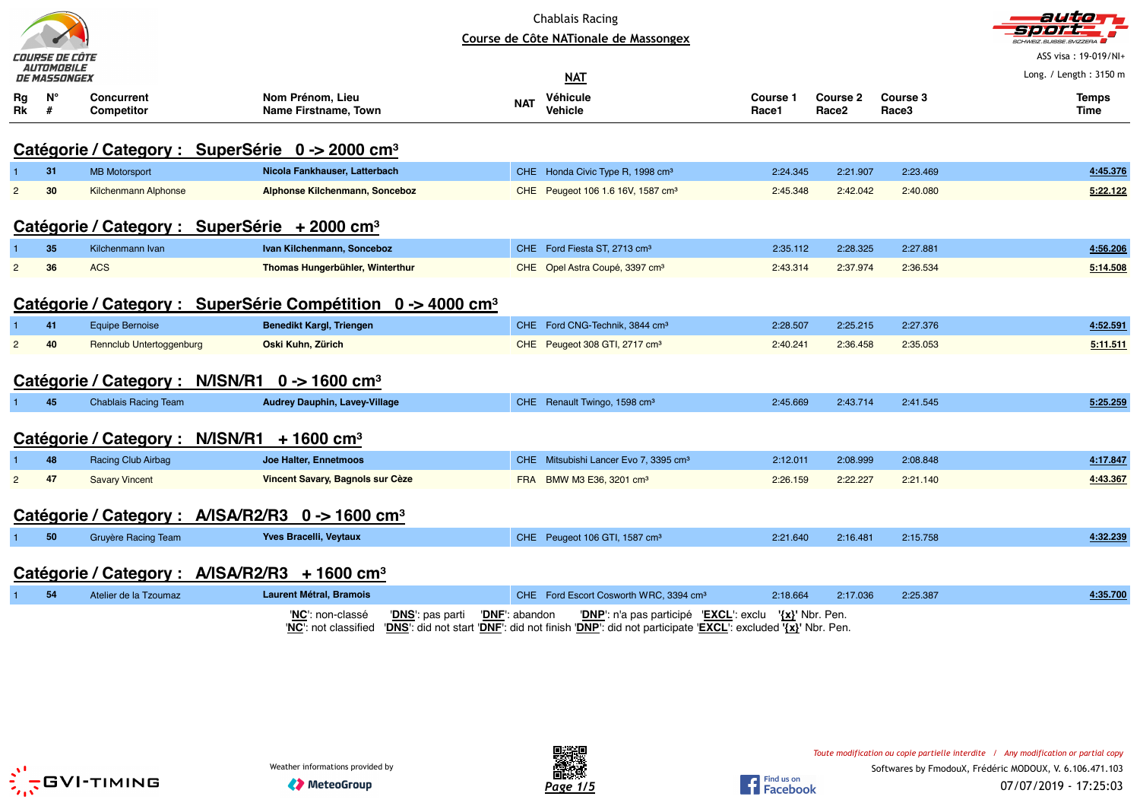| <b>Chablais Racing</b><br>Course de Côte NATionale de Massongex<br>COURSE DE CÔTE<br><i>AUTOMOBILE</i><br>DE MASSONGEX |                                                                         |                                                           |                 |                                                              |                                             |            |                                                                                                                                                                  | auto<br>,,,,,<br>SUISSE SVIZZERA<br>ASS visa: 19-019/NI+ |                               |                   |                          |  |
|------------------------------------------------------------------------------------------------------------------------|-------------------------------------------------------------------------|-----------------------------------------------------------|-----------------|--------------------------------------------------------------|---------------------------------------------|------------|------------------------------------------------------------------------------------------------------------------------------------------------------------------|----------------------------------------------------------|-------------------------------|-------------------|--------------------------|--|
|                                                                                                                        |                                                                         |                                                           |                 |                                                              |                                             |            | <b>NAT</b>                                                                                                                                                       |                                                          |                               |                   | Long. / Length: $3150$ m |  |
| Rg<br>Rk                                                                                                               | $N^{\circ}$<br>#                                                        | <b>Concurrent</b><br><b>Competitor</b>                    |                 | Nom Prénom, Lieu<br><b>Name Firstname, Town</b>              |                                             | <b>NAT</b> | Véhicule<br><b>Vehicle</b>                                                                                                                                       | Course 1<br>Race1                                        | Course 2<br>Race <sub>2</sub> | Course 3<br>Race3 | <b>Temps</b><br>Time     |  |
|                                                                                                                        |                                                                         |                                                           |                 | Catégorie / Category : SuperSérie 0 -> 2000 cm <sup>3</sup>  |                                             |            |                                                                                                                                                                  |                                                          |                               |                   |                          |  |
|                                                                                                                        | 31                                                                      | <b>MB Motorsport</b>                                      |                 | Nicola Fankhauser, Latterbach                                |                                             |            | CHE Honda Civic Type R, 1998 cm <sup>3</sup>                                                                                                                     | 2:24.345                                                 | 2:21.907                      | 2:23.469          | 4:45.376                 |  |
| $\overline{2}$                                                                                                         | 30                                                                      | Kilchenmann Alphonse                                      |                 | Alphonse Kilchenmann, Sonceboz                               |                                             |            | CHE Peugeot 106 1.6 16V, 1587 cm <sup>3</sup>                                                                                                                    | 2:45.348                                                 | 2:42.042                      | 2:40.080          | 5:22.122                 |  |
|                                                                                                                        | Catégorie / Category : SuperSérie + 2000 cm <sup>3</sup>                |                                                           |                 |                                                              |                                             |            |                                                                                                                                                                  |                                                          |                               |                   |                          |  |
|                                                                                                                        | 35                                                                      | Kilchenmann Ivan                                          |                 | Ivan Kilchenmann, Sonceboz                                   |                                             |            | CHE Ford Fiesta ST, 2713 cm <sup>3</sup>                                                                                                                         | 2:35.112                                                 | 2:28.325                      | 2:27.881          | 4:56.206                 |  |
| $\overline{2}$                                                                                                         | 36                                                                      | <b>ACS</b>                                                |                 | Thomas Hungerbühler, Winterthur                              |                                             |            | CHE Opel Astra Coupé, 3397 cm <sup>3</sup>                                                                                                                       | 2:43.314                                                 | 2:37.974                      | 2:36.534          | 5:14.508                 |  |
|                                                                                                                        | Catégorie / Category : SuperSérie Compétition 0 -> 4000 cm <sup>3</sup> |                                                           |                 |                                                              |                                             |            |                                                                                                                                                                  |                                                          |                               |                   |                          |  |
|                                                                                                                        | 41                                                                      | <b>Equipe Bernoise</b>                                    |                 | <b>Benedikt Kargl, Triengen</b>                              |                                             |            | CHE Ford CNG-Technik, 3844 cm <sup>3</sup>                                                                                                                       | 2:28.507                                                 | 2:25.215                      | 2:27.376          | 4:52.591                 |  |
| $\overline{2}$                                                                                                         | 40                                                                      | Rennclub Untertoggenburg                                  |                 | Oski Kuhn, Zürich                                            |                                             |            | CHE Peugeot 308 GTI, 2717 cm <sup>3</sup>                                                                                                                        | 2:40.241                                                 | 2:36.458                      | 2:35.053          | 5:11.511                 |  |
|                                                                                                                        |                                                                         | Catégorie / Category : N/ISN/R1 0 -> 1600 cm <sup>3</sup> |                 |                                                              |                                             |            |                                                                                                                                                                  |                                                          |                               |                   |                          |  |
|                                                                                                                        | 45                                                                      | <b>Chablais Racing Team</b>                               |                 | <b>Audrey Dauphin, Lavey-Village</b>                         |                                             |            | CHE Renault Twingo, 1598 cm <sup>3</sup>                                                                                                                         | 2:45.669                                                 | 2:43.714                      | 2:41.545          | 5:25.259                 |  |
|                                                                                                                        |                                                                         | Catégorie / Category :                                    | <b>N/ISN/R1</b> | $+1600$ cm <sup>3</sup>                                      |                                             |            |                                                                                                                                                                  |                                                          |                               |                   |                          |  |
|                                                                                                                        | 48                                                                      | Racing Club Airbag                                        |                 | Joe Halter, Ennetmoos                                        |                                             |            | CHE Mitsubishi Lancer Evo 7, 3395 cm <sup>3</sup>                                                                                                                | 2:12.011                                                 | 2:08.999                      | 2:08.848          | 4:17.847                 |  |
| $\overline{2}$                                                                                                         | 47                                                                      | <b>Savary Vincent</b>                                     |                 | Vincent Savary, Bagnols sur Cèze                             |                                             |            | FRA BMW M3 E36, 3201 cm <sup>3</sup>                                                                                                                             | 2:26.159                                                 | 2:22.227                      | 2:21.140          | 4:43.367                 |  |
|                                                                                                                        |                                                                         |                                                           |                 | Catégorie / Category : A/ISA/R2/R3 0 -> 1600 cm <sup>3</sup> |                                             |            |                                                                                                                                                                  |                                                          |                               |                   |                          |  |
|                                                                                                                        | 50                                                                      | Gruyère Racing Team                                       |                 | <b>Yves Bracelli, Veytaux</b>                                |                                             |            | CHE Peugeot 106 GTI, 1587 cm <sup>3</sup>                                                                                                                        | 2:21.640                                                 | 2:16.481                      | 2:15.758          | 4:32.239                 |  |
|                                                                                                                        |                                                                         | Catégorie / Category : A/ISA/R2/R3 + 1600 cm <sup>3</sup> |                 |                                                              |                                             |            |                                                                                                                                                                  |                                                          |                               |                   |                          |  |
|                                                                                                                        | 54                                                                      | Atelier de la Tzoumaz                                     |                 | <b>Laurent Métral, Bramois</b>                               |                                             |            | CHE Ford Escort Cosworth WRC, 3394 cm <sup>3</sup>                                                                                                               | 2:18.664                                                 | 2:17.036                      | 2:25.387          | 4:35.700                 |  |
|                                                                                                                        |                                                                         |                                                           |                 | 'NC': non-classé<br>'NC': not classified                     | 'DNF': abandon<br>' <b>DNS</b> ': pas parti |            | 'DNP': n'a pas participé 'EXCL': exclu '{x}' Nbr. Pen.<br>'DNS': did not start 'DNF': did not finish 'DNP': did not participate 'EXCL': excluded '{x}' Nbr. Pen. |                                                          |                               |                   |                          |  |



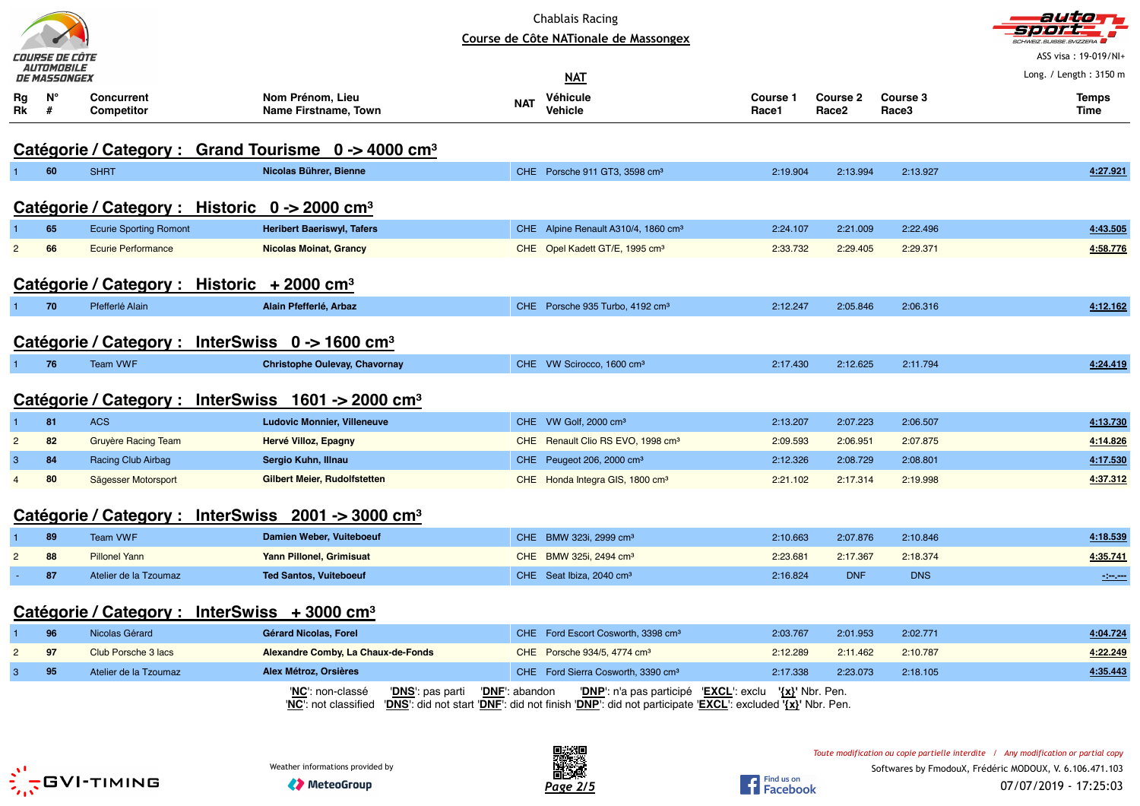|                |                              |                                 |                                                                                                                                                                                   |                | <b>Chablais Racing</b><br>Course de Côte NATionale de Massongex |                   |                                      |                   | auticim<br>CHWEIZ.SUISSE.SVIZZERA |
|----------------|------------------------------|---------------------------------|-----------------------------------------------------------------------------------------------------------------------------------------------------------------------------------|----------------|-----------------------------------------------------------------|-------------------|--------------------------------------|-------------------|-----------------------------------|
|                | COURSE DE CÔTE<br>AUTOMOBILE |                                 |                                                                                                                                                                                   |                |                                                                 |                   |                                      |                   | ASS visa: 19-019/NI+              |
|                | DE MASSONGEX                 |                                 |                                                                                                                                                                                   |                | <b>NAT</b>                                                      |                   |                                      |                   | Long. / Length: 3150 m            |
| Rg<br>Rk       | Ν°<br>#                      | <b>Concurrent</b><br>Competitor | Nom Prénom, Lieu<br>Name Firstname, Town                                                                                                                                          | <b>NAT</b>     | Véhicule<br><b>Vehicle</b>                                      | Course 1<br>Race1 | <b>Course 2</b><br>Race <sub>2</sub> | Course 3<br>Race3 | <b>Temps</b><br>Time              |
|                |                              |                                 | Catégorie / Category : Grand Tourisme 0 -> 4000 cm <sup>3</sup>                                                                                                                   |                |                                                                 |                   |                                      |                   |                                   |
|                | 60                           | <b>SHRT</b>                     | Nicolas Bührer, Bienne                                                                                                                                                            |                | CHE Porsche 911 GT3, 3598 cm <sup>3</sup>                       | 2:19.904          | 2:13.994                             | 2:13.927          | 4:27.921                          |
|                |                              |                                 | Catégorie / Category : Historic $0 \rightarrow 2000$ cm <sup>3</sup>                                                                                                              |                |                                                                 |                   |                                      |                   |                                   |
|                | 65                           | <b>Ecurie Sporting Romont</b>   | <b>Heribert Baeriswyl, Tafers</b>                                                                                                                                                 |                | CHE Alpine Renault A310/4, 1860 cm <sup>3</sup>                 | 2:24.107          | 2:21.009                             | 2:22.496          | 4:43.505                          |
| $\overline{2}$ | 66                           | <b>Ecurie Performance</b>       | <b>Nicolas Moinat, Grancy</b>                                                                                                                                                     |                | CHE Opel Kadett GT/E, 1995 cm <sup>3</sup>                      | 2:33.732          | 2:29.405                             | 2:29.371          | 4:58.776                          |
|                |                              |                                 | Catégorie / Category : Historic + 2000 cm <sup>3</sup>                                                                                                                            |                |                                                                 |                   |                                      |                   |                                   |
| 1.             | 70                           | Pfefferlé Alain                 | Alain Pfefferlé, Arbaz                                                                                                                                                            |                | CHE Porsche 935 Turbo, 4192 cm <sup>3</sup>                     | 2:12.247          | 2:05.846                             | 2:06.316          | 4:12.162                          |
|                |                              |                                 | Catégorie / Category : InterSwiss $0 \rightarrow 1600$ cm <sup>3</sup>                                                                                                            |                |                                                                 |                   |                                      |                   |                                   |
| $\mathbf{1}$   | 76                           | <b>Team VWF</b>                 | <b>Christophe Oulevay, Chavornay</b>                                                                                                                                              |                | CHE VW Scirocco, 1600 cm <sup>3</sup>                           | 2:17.430          | 2:12.625                             | 2:11.794          | 4:24.419                          |
|                |                              |                                 | Catégorie / Category : InterSwiss 1601 -> 2000 cm <sup>3</sup>                                                                                                                    |                |                                                                 |                   |                                      |                   |                                   |
| $\mathbf{1}$   | 81                           | <b>ACS</b>                      | <b>Ludovic Monnier, Villeneuve</b>                                                                                                                                                |                | CHE VW Golf, 2000 cm <sup>3</sup>                               | 2:13.207          | 2:07.223                             | 2:06.507          | 4:13.730                          |
| $\overline{2}$ | 82                           | Gruyère Racing Team             | Hervé Villoz, Epagny                                                                                                                                                              |                | CHE Renault Clio RS EVO, 1998 cm <sup>3</sup>                   | 2:09.593          | 2:06.951                             | 2:07.875          | 4:14.826                          |
| 3              | 84                           | <b>Racing Club Airbag</b>       | Sergio Kuhn, Illnau                                                                                                                                                               |                | CHE Peugeot 206, 2000 cm <sup>3</sup>                           | 2:12.326          | 2:08.729                             | 2:08.801          | 4:17.530                          |
| $\overline{4}$ | 80                           | Sägesser Motorsport             | <b>Gilbert Meier, Rudolfstetten</b>                                                                                                                                               |                | CHE Honda Integra GIS, 1800 cm <sup>3</sup>                     | 2:21.102          | 2:17.314                             | 2:19.998          | 4:37.312                          |
|                |                              | Catégorie / Category :          | <b>InterSwiss</b><br>$2001 \div 3000$ cm <sup>3</sup>                                                                                                                             |                |                                                                 |                   |                                      |                   |                                   |
|                | 89                           | <b>Team VWF</b>                 | Damien Weber, Vuiteboeuf                                                                                                                                                          |                | CHE BMW 323i, 2999 cm <sup>3</sup>                              | 2:10.663          | 2:07.876                             | 2:10.846          | 4:18.539                          |
| 2              | 88                           | <b>Pillonel Yann</b>            | Yann Pillonel, Grimisuat                                                                                                                                                          |                | CHE BMW 325i, 2494 cm <sup>3</sup>                              | 2:23.681          | 2:17.367                             | 2:18.374          | 4:35.741                          |
|                | 87                           | Atelier de la Tzoumaz           | <b>Ted Santos, Vuiteboeuf</b>                                                                                                                                                     |                | CHE Seat Ibiza, 2040 cm <sup>3</sup>                            | 2:16.824          | <b>DNF</b>                           | <b>DNS</b>        | <b>STATE</b>                      |
|                |                              |                                 | Catégorie / Category : InterSwiss + 3000 cm <sup>3</sup>                                                                                                                          |                |                                                                 |                   |                                      |                   |                                   |
| $\mathbf{1}$   | 96                           | Nicolas Gérard                  | Gérard Nicolas, Forel                                                                                                                                                             |                | CHE Ford Escort Cosworth, 3398 cm <sup>3</sup>                  | 2:03.767          | 2:01.953                             | 2:02.771          | 4:04.724                          |
| $\overline{c}$ | 97                           | Club Porsche 3 lacs             | Alexandre Comby, La Chaux-de-Fonds                                                                                                                                                |                | CHE Porsche 934/5, 4774 cm <sup>3</sup>                         | 2:12.289          | 2:11.462                             | 2:10.787          | 4:22.249                          |
| $\mathbf{3}$   | 95                           | Atelier de la Tzoumaz           | Alex Métroz, Orsières                                                                                                                                                             |                | CHE Ford Sierra Cosworth, 3390 cm <sup>3</sup>                  | 2:17.338          | 2:23.073                             | 2:18.105          | 4:35.443                          |
|                |                              |                                 | 'NC': non-classé<br>' <mark>DNS</mark> ': pas parti<br>"NC': not classified "DNS': did not start "DNF': did not finish "DNP': did not participate "EXCL': excluded 'XX' Nbr. Pen. | 'DNF': abandon | 'DNP': n'a pas participé 'EXCL': exclu '{x}' Nbr. Pen.          |                   |                                      |                   |                                   |





Find us on<br>Facebook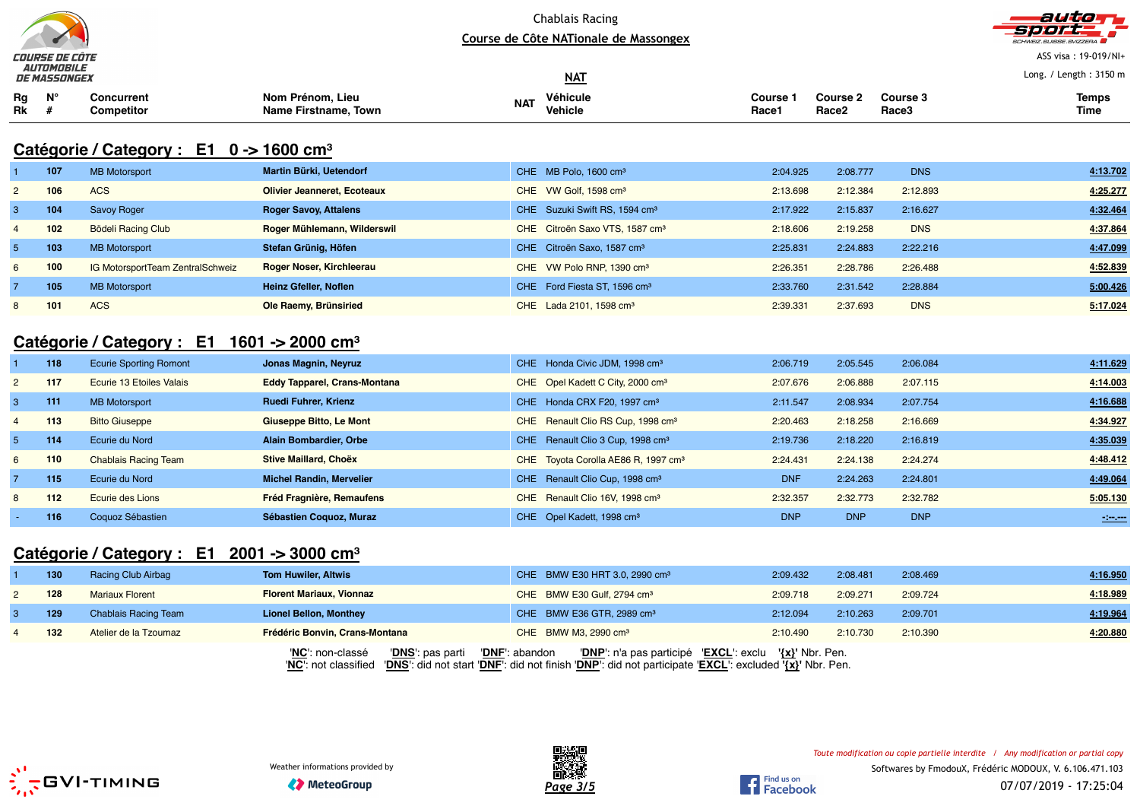



ASS visa : 19-019/NI+

|                 | ___________<br><b>DE MASSONGEX</b> |                                                                   |                                          |            | $MAT$                                      |                              |                          |                   | Long. / Length: 3150 m |
|-----------------|------------------------------------|-------------------------------------------------------------------|------------------------------------------|------------|--------------------------------------------|------------------------------|--------------------------|-------------------|------------------------|
| Rg<br><b>Rk</b> | $N^{\circ}$                        | Concurrent<br>Competitor                                          | Nom Prénom, Lieu<br>Name Firstname, Town | <b>NAT</b> | Véhicule<br><b>Vehicle</b>                 | Course <sup>1</sup><br>Race1 | <b>Course 2</b><br>Race2 | Course 3<br>Race3 | <b>Temps</b><br>Time   |
|                 |                                    | Catégorie / Category : $E1 \quad 0 \rightarrow 1600 \text{ cm}^3$ |                                          |            |                                            |                              |                          |                   |                        |
|                 | 107                                | <b>MB Motorsport</b>                                              | Martin Bürki, Uetendorf                  |            | CHE MB Polo, 1600 cm <sup>3</sup>          | 2:04.925                     | 2:08.777                 | <b>DNS</b>        | 4:13.702               |
| $2^{\circ}$     | 106                                | <b>ACS</b>                                                        | <b>Olivier Jeanneret, Ecoteaux</b>       |            | CHE VW Golf. 1598 cm <sup>3</sup>          | 2:13.698                     | 2:12.384                 | 2:12.893          | 4:25.277               |
| -3              | 104                                | <b>Savoy Roger</b>                                                | <b>Roger Savoy, Attalens</b>             |            | CHE Suzuki Swift RS, 1594 cm <sup>3</sup>  | 2:17.922                     | 2:15.837                 | 2:16.627          | 4:32.464               |
| $\overline{4}$  | 102                                | <b>Bödeli Racing Club</b>                                         | Roger Mühlemann, Wilderswil              |            | CHE Citroën Saxo VTS, 1587 cm <sup>3</sup> | 2:18.606                     | 2:19.258                 | <b>DNS</b>        | 4:37.864               |
| 5               | 103                                | <b>MB Motorsport</b>                                              | Stefan Grünig, Höfen                     | <b>CHE</b> | Citroën Saxo, 1587 cm <sup>3</sup>         | 2:25.831                     | 2:24.883                 | 2:22.216          | 4:47.099               |

#### 6 **100** IG MotorsportTeam ZentralSchweiz **Roger Noser, Kirchleerau** CHE VW Polo RNP, 1390 cm<sup>³</sup> 2:26.351 2:28.786 2:26.488 **4:52.839** 7 **105** MB Motorsport **Heinz Gfeller, Noflen** CHE Ford Fiesta ST, 1596 cm<sup>³</sup> 2:33.760 2:31.542 2:28.884 **5:00.426** 8 **101** ACS**Ole Raemy, Brünsiried CHE Lada 2101, 1598 cm3** 2:39.331 2:37.693 DNS 5:17.024

### **Catégorie / Category : E1 1601 -> 2000 cm<sup>³</sup>**

|                | 118 | <b>Ecurie Sporting Romont</b> | Jonas Magnin, Neyruz                | CHE Honda Civic JDM, 1998 cm <sup>3</sup>       | 2:06.719   | 2:05.545   | 2:06.084   | 4:11.629 |
|----------------|-----|-------------------------------|-------------------------------------|-------------------------------------------------|------------|------------|------------|----------|
| $\overline{2}$ | 117 | Ecurie 13 Etoiles Valais      | <b>Eddy Tapparel, Crans-Montana</b> | CHE Opel Kadett C City, 2000 cm <sup>3</sup>    | 2:07.676   | 2:06.888   | 2:07.115   | 4:14.003 |
|                | 111 | <b>MB Motorsport</b>          | <b>Ruedi Fuhrer, Krienz</b>         | CHE Honda CRX F20, 1997 cm <sup>3</sup>         | 2:11.547   | 2:08.934   | 2:07.754   | 4:16.688 |
|                | 113 | <b>Bitto Giuseppe</b>         | Giuseppe Bitto, Le Mont             | CHE Renault Clio RS Cup, 1998 cm <sup>3</sup>   | 2:20.463   | 2:18.258   | 2:16.669   | 4:34.927 |
|                | 114 | Ecurie du Nord                | Alain Bombardier, Orbe              | CHE Renault Clio 3 Cup, 1998 cm <sup>3</sup>    | 2:19.736   | 2:18.220   | 2:16.819   | 4:35.039 |
| 6              | 110 | <b>Chablais Racing Team</b>   | Stive Maillard, Choëx               | CHE Toyota Corolla AE86 R, 1997 cm <sup>3</sup> | 2:24.431   | 2:24.138   | 2:24.274   | 4:48.412 |
|                | 115 | Ecurie du Nord                | <b>Michel Randin, Mervelier</b>     | CHE Renault Clio Cup, 1998 cm <sup>3</sup>      | <b>DNF</b> | 2:24.263   | 2:24.801   | 4:49.064 |
| 8              | 112 | Ecurie des Lions              | <b>Fréd Fragnière, Remaufens</b>    | CHE Renault Clio 16V, 1998 cm <sup>3</sup>      | 2:32.357   | 2:32.773   | 2:32.782   | 5:05.130 |
|                | 116 | Coquoz Sébastien              | Sébastien Coquoz, Muraz             | CHE Opel Kadett, 1998 cm <sup>3</sup>           | <b>DNP</b> | <b>DNP</b> | <b>DNP</b> | $\sim$   |

# **Catégorie / Category : E1 2001 -> 3000 cm<sup>³</sup>**

|   | 130 | <b>Racing Club Airbag</b>   | <b>Tom Huwiler, Altwis</b>           | CHE BMW E30 HRT 3.0, 2990 cm <sup>3</sup>                                                                                                                                                             | 2:09.432 | 2:08.481 | 2:08.469 | 4:16.950 |
|---|-----|-----------------------------|--------------------------------------|-------------------------------------------------------------------------------------------------------------------------------------------------------------------------------------------------------|----------|----------|----------|----------|
|   | 128 | <b>Mariaux Florent</b>      | <b>Florent Mariaux, Vionnaz</b>      | CHE BMW E30 Gulf, 2794 cm <sup>3</sup>                                                                                                                                                                | 2:09.718 | 2:09.271 | 2:09.724 | 4:18.989 |
|   | 129 | <b>Chablais Racing Team</b> | <b>Lionel Bellon, Monthey</b>        | CHE BMW E36 GTR, 2989 cm <sup>3</sup>                                                                                                                                                                 | 2:12.094 | 2:10.263 | 2:09.701 | 4:19.964 |
| 4 | 132 | Atelier de la Tzoumaz       | Frédéric Bonvin, Crans-Montana       | CHE BMW M3, 2990 cm <sup>3</sup>                                                                                                                                                                      | 2:10.490 | 2:10.730 | 2:10.390 | 4:20.880 |
|   |     |                             | 'DNS': pas parti<br>'NC': non-classé | "DNP" n'a pas participé "EXCL" exclu '{x}' Nbr. Pen.<br>'DNF': abandon<br>"NC': not classified "DNS': did not start 'DNF': did not finish 'DNP': did not participate 'EXCL': excluded '{x}' Nbr. Pen. |          |          |          |          |





**1** Find us on Find us on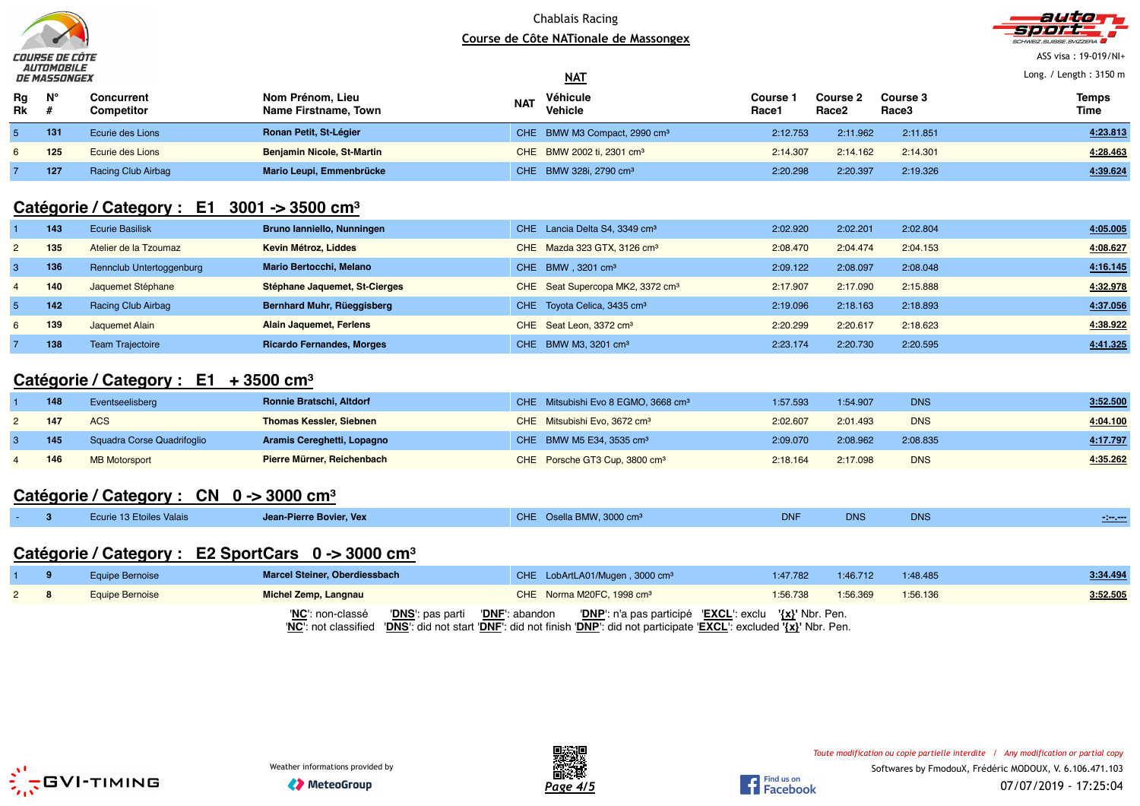



ASS visa : 19-019/NI+

Long. / Length : 3150 m

|          | ____________ | <i>DE MASSONGEX</i>      |                                          |            | $NAT$                                    |                          |                                      | Long. / Length: 3150 m |                      |
|----------|--------------|--------------------------|------------------------------------------|------------|------------------------------------------|--------------------------|--------------------------------------|------------------------|----------------------|
| Rg<br>Rk | $N^{\circ}$  | Concurrent<br>Competitor | Nom Prénom, Lieu<br>Name Firstname, Town | <b>NAT</b> | Véhicule<br>Vehicle                      | <b>Course</b> :<br>Race1 | <b>Course 2</b><br>Race <sub>2</sub> | Course 3<br>Race3      | <b>Temps</b><br>Time |
|          | 131          | Ecurie des Lions         | Ronan Petit, St-Légier                   |            | CHE BMW M3 Compact, 2990 cm <sup>3</sup> | 2:12.753                 | 2:11.962                             | 2:11.851               | 4:23.813             |
|          | 125          | Ecurie des Lions         | <b>Benjamin Nicole, St-Martin</b>        |            | CHE BMW 2002 ti, 2301 cm <sup>3</sup>    | 2:14.307                 | 2:14.162                             | 2:14.301               | 4:28.463             |
|          | 127          | Racing Club Airbag       | Mario Leupi, Emmenbrücke                 |            | CHE BMW 328i, 2790 cm <sup>3</sup>       | 2:20.298                 | 2:20.397                             | 2:19.326               | 4:39.624             |

### **Catégorie / Category : E1 3001 -> 3500 cm<sup>³</sup>**

|              | 143 | <b>Ecurie Basilisk</b>   | Bruno lanniello, Nunningen       | CHE Lancia Delta S4, 3349 cm <sup>3</sup>    | 2:02.920 | 2:02.201 | 2:02.804 | 4:05.005 |
|--------------|-----|--------------------------|----------------------------------|----------------------------------------------|----------|----------|----------|----------|
| $\mathbf{2}$ | 135 | Atelier de la Tzoumaz    | Kevin Métroz, Liddes             | CHE Mazda 323 GTX, 3126 cm <sup>3</sup>      | 2:08.470 | 2:04.474 | 2:04.153 | 4:08.627 |
|              | 136 | Rennclub Untertoggenburg | <b>Mario Bertocchi, Melano</b>   | CHE BMW . 3201 cm <sup>3</sup>               | 2:09.122 | 2:08.097 | 2:08.048 | 4:16.145 |
| 4            | 140 | Jaquemet Stéphane        | Stéphane Jaquemet, St-Cierges    | CHE Seat Supercopa MK2, 3372 cm <sup>3</sup> | 2:17.907 | 2:17.090 | 2:15.888 | 4:32.978 |
|              | 142 | Racing Club Airbag       | Bernhard Muhr, Rüeggisberg       | CHE Toyota Celica, 3435 cm <sup>3</sup>      | 2:19.096 | 2:18.163 | 2:18.893 | 4:37.056 |
| 6            | 139 | Jaquemet Alain           | Alain Jaquemet, Ferlens          | CHE Seat Leon, 3372 cm <sup>3</sup>          | 2:20.299 | 2:20.617 | 2:18.623 | 4:38.922 |
|              | 138 | <b>Team Trajectoire</b>  | <b>Ricardo Fernandes, Morges</b> | CHE BMW M3, 3201 cm <sup>3</sup>             | 2:23.174 | 2:20.730 | 2:20.595 | 4:41.325 |

### **Catégorie / Category : E1 + 3500 cm<sup>³</sup>**

| 148 | Eventseelisberg            | Ronnie Bratschi, Altdorf       | CHE Mitsubishi Evo 8 EGMO, 3668 cm <sup>3</sup> | 1:57.593 | 1:54.907 | <b>DNS</b> | 3:52.500 |
|-----|----------------------------|--------------------------------|-------------------------------------------------|----------|----------|------------|----------|
| 147 | <b>ACS</b>                 | <b>Thomas Kessler, Siebnen</b> | CHE Mitsubishi Evo, 3672 cm <sup>3</sup>        | 2:02.607 | 2:01.493 | <b>DNS</b> | 4:04.100 |
| 145 | Squadra Corse Quadrifoglio | Aramis Cereghetti, Lopagno     | CHE BMW M5 E34, 3535 cm <sup>3</sup>            | 2:09.070 | 2:08.962 | 2:08.835   | 4:17.797 |
| 146 | <b>MB Motorsport</b>       | Pierre Mürner, Reichenbach     | CHE Porsche GT3 Cup, 3800 cm <sup>3</sup>       | 2:18.164 | 2:17.098 | <b>DNS</b> | 4:35.262 |

## **Catégorie / Category : CN 0 -> 3000 cm<sup>³</sup>**

| CHE Osella BMW, 3000 cm <sup>3</sup><br><b>DNF</b><br><b>DNS</b><br>Ecurie 13 Etoiles Valais<br><b>DNS</b><br>Jean-Pierre Bovier, Vex | <b>Continued by Service</b> |
|---------------------------------------------------------------------------------------------------------------------------------------|-----------------------------|
|---------------------------------------------------------------------------------------------------------------------------------------|-----------------------------|

### **Catégorie / Category : E2 SportCars 0 -> 3000 cm<sup>³</sup>**

|  | Equipe Bernoise | <b>Marcel Steiner, Oberdiessbach</b> | CHE LobArtLA01/Mugen, 3000 cm <sup>3</sup>                                                                                                                                                                                                   | 1:47.782 | 1:46.712 | 1:48.485 | 3:34.494 |
|--|-----------------|--------------------------------------|----------------------------------------------------------------------------------------------------------------------------------------------------------------------------------------------------------------------------------------------|----------|----------|----------|----------|
|  | Equipe Bernoise | Michel Zemp, Langnau                 | CHE Norma M20FC, 1998 cm <sup>3</sup>                                                                                                                                                                                                        | 1:56.738 | 1:56.369 | 1:56.136 | 3:52.505 |
|  |                 | 'NC': non-classé                     | 'DNS': pas parti     ' <u>DNF</u> ': abandon       'DNP': n'a pas participé   'EXCL': exclu   '{x}' Nbr. Pen.<br>'NC': not classified 'DNS': did not start 'DNF': did not finish 'DNP': did not participate 'EXCL': excluded '{x}' Nbr. Pen. |          |          |          |          |



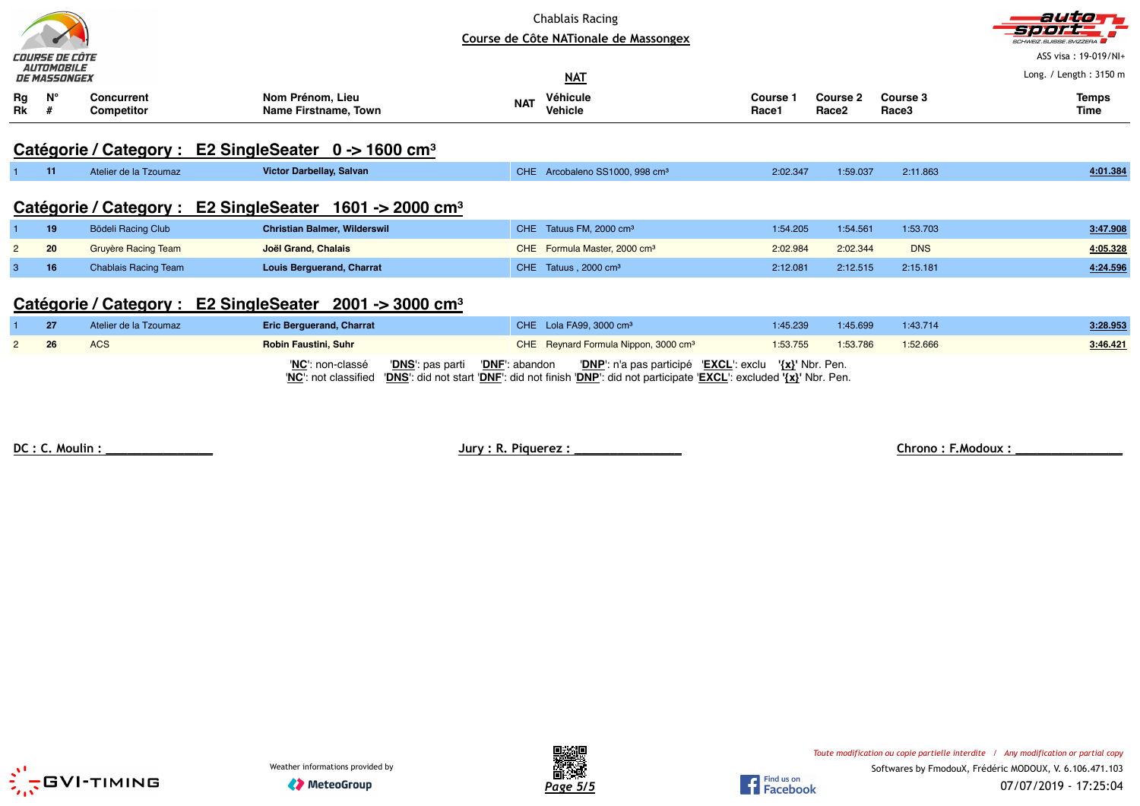|                                                                  | COURSE DE CÔTE<br><i><b>AUTOMOBILE</b></i><br><b>DE MASSONGEX</b>       |                             |                                                                        | Chablais Racing<br>Course de Côte NATionale de Massongex<br><b>NAT</b> |                          |                               |                   | autor<br>5月10月<br><b>SCHWEIZ.SUISSE.SVIZZERA</b><br>ASS visa: 19-019/NI+<br>Long. / Length: 3150 m |  |
|------------------------------------------------------------------|-------------------------------------------------------------------------|-----------------------------|------------------------------------------------------------------------|------------------------------------------------------------------------|--------------------------|-------------------------------|-------------------|----------------------------------------------------------------------------------------------------|--|
| Rg<br>Rk                                                         | $N^{\circ}$<br>-#                                                       | Concurrent<br>Competitor    | Nom Prénom, Lieu<br>Name Firstname, Town                               | Véhicule<br><b>NAT</b><br>Vehicle                                      | <b>Course 1</b><br>Race1 | Course 2<br>Race <sub>2</sub> | Course 3<br>Race3 | <b>Temps</b><br>Time                                                                               |  |
| Catégorie / Category : E2 SingleSeater 0 -> 1600 cm <sup>3</sup> |                                                                         |                             |                                                                        |                                                                        |                          |                               |                   |                                                                                                    |  |
|                                                                  | 11                                                                      | Atelier de la Tzoumaz       | Victor Darbellay, Salvan                                               | <b>CHE</b><br>Arcobaleno SS1000, 998 cm <sup>3</sup>                   | 2:02.347                 | 1:59.037                      | 2:11.863          | 4:01.384                                                                                           |  |
|                                                                  |                                                                         |                             | Catégorie / Category : E2 SingleSeater<br>1601 -> 2000 cm <sup>3</sup> |                                                                        |                          |                               |                   |                                                                                                    |  |
|                                                                  | 19                                                                      | <b>Bödeli Racing Club</b>   | <b>Christian Balmer, Wilderswil</b>                                    | CHE Tatuus FM, 2000 cm <sup>3</sup>                                    | 1:54.205                 | 1:54.561                      | 1:53.703          | 3:47.908                                                                                           |  |
| $\overline{2}$                                                   | 20                                                                      | <b>Gruyère Racing Team</b>  | Joël Grand, Chalais                                                    | CHE Formula Master, 2000 cm <sup>3</sup>                               | 2:02.984                 | 2:02.344                      | <b>DNS</b>        | 4:05.328                                                                                           |  |
| З                                                                | 16                                                                      | <b>Chablais Racing Team</b> | <b>Louis Berguerand, Charrat</b>                                       | CHE Tatuus, 2000 cm <sup>3</sup>                                       | 2:12.081                 | 2:12.515                      | 2:15.181          | 4:24.596                                                                                           |  |
|                                                                  | Catégorie / Category : E2 SingleSeater<br>$2001 - 3000$ cm <sup>3</sup> |                             |                                                                        |                                                                        |                          |                               |                   |                                                                                                    |  |

| 27 | Atelier de la Tzoumaz | <b>Eric Berguerand, Charrat</b> | CHE Lola FA99, 3000 $cm3$                                                                                                                                                             | 1:45.239 | 1:45.699 | 1:43.714 | 3:28.953 |
|----|-----------------------|---------------------------------|---------------------------------------------------------------------------------------------------------------------------------------------------------------------------------------|----------|----------|----------|----------|
|    | ACS                   | <b>Robin Faustini, Suhr</b>     | CHE Reynard Formula Nippon, 3000 cm <sup>3</sup>                                                                                                                                      | 1:53.755 | 1:53.786 | 1:52.666 | 3:46.421 |
|    |                       | 'NC': non-classé                | 'DNP': n'a pas participé 'EXCL': exclu '{x}' Nbr. Pen.<br>'NC': not classified 'DNS': did not start 'DNF': did not finish 'DNP': did not participate 'EXCL': excluded '{x}' Nbr. Pen. |          |          |          |          |

**DC : C. Moulin : \_\_\_\_\_\_\_\_\_\_\_\_\_\_\_ Jury : R. Piquerez : \_\_\_\_\_\_\_\_\_\_\_\_\_\_\_ Chrono : F.Modoux : \_\_\_\_\_\_\_\_\_\_\_\_\_\_\_**





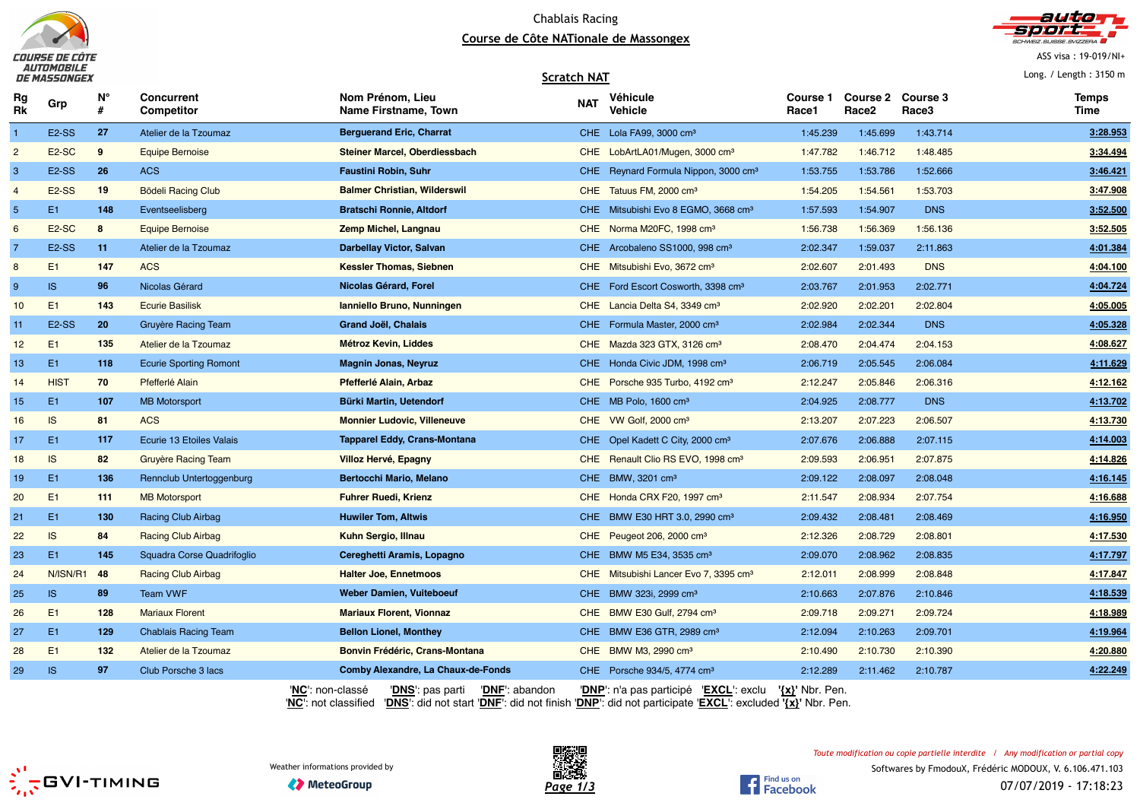



ASS visa : 19-019/NI+

Long. / Length : 3150 m

#### **Scratch NAT**

| Rg<br>Rk       | Grp                | N°<br># | Concurrent<br><b>Competitor</b> | Nom Prénom, Lieu<br>Name Firstname, Town                                                                                                                                                          | <b>NAT</b> | Véhicule<br><b>Vehicle</b>                        | Course 1<br>Race1   | <b>Course 2</b><br>Race <sub>2</sub> | Course 3<br>Race3 | <b>Temps</b><br>Time |
|----------------|--------------------|---------|---------------------------------|---------------------------------------------------------------------------------------------------------------------------------------------------------------------------------------------------|------------|---------------------------------------------------|---------------------|--------------------------------------|-------------------|----------------------|
| $\mathbf{1}$   | E <sub>2</sub> -SS | 27      | Atelier de la Tzoumaz           | <b>Berguerand Eric, Charrat</b>                                                                                                                                                                   |            | CHE Lola FA99, 3000 cm <sup>3</sup>               | 1:45.239            | 1:45.699                             | 1:43.714          | 3:28.953             |
| $\overline{c}$ | E <sub>2</sub> -SC | 9       | <b>Equipe Bernoise</b>          | Steiner Marcel, Oberdiessbach                                                                                                                                                                     |            | CHE LobArtLA01/Mugen, 3000 cm <sup>3</sup>        | 1:47.782            | 1:46.712                             | 1:48.485          | 3:34.494             |
| 3              | E <sub>2</sub> -SS | 26      | <b>ACS</b>                      | <b>Faustini Robin, Suhr</b>                                                                                                                                                                       |            | CHE Reynard Formula Nippon, 3000 cm <sup>3</sup>  | 1:53.755            | 1:53.786                             | 1:52.666          | 3:46.421             |
| $\overline{4}$ | <b>E2-SS</b>       | 19      | <b>Bödeli Racing Club</b>       | <b>Balmer Christian, Wilderswil</b>                                                                                                                                                               |            | CHE Tatuus FM, 2000 cm <sup>3</sup>               | 1:54.205            | 1:54.561                             | 1:53.703          | 3:47.908             |
| 5              | E <sub>1</sub>     | 148     | Eventseelisberg                 | <b>Bratschi Ronnie, Altdorf</b>                                                                                                                                                                   |            | CHE Mitsubishi Evo 8 EGMO, 3668 cm <sup>3</sup>   | 1:57.593            | 1:54.907                             | <b>DNS</b>        | 3:52.500             |
| 6              | E <sub>2</sub> -SC | 8       | <b>Equipe Bernoise</b>          | Zemp Michel, Langnau                                                                                                                                                                              |            | CHE Norma M20FC, 1998 cm <sup>3</sup>             | 1:56.738            | 1:56.369                             | 1:56.136          | 3:52.505             |
| $\overline{7}$ | E <sub>2</sub> -SS | 11      | Atelier de la Tzoumaz           | <b>Darbellay Victor, Salvan</b>                                                                                                                                                                   |            | CHE Arcobaleno SS1000, 998 cm <sup>3</sup>        | 2:02.347            | 1:59.037                             | 2:11.863          | 4:01.384             |
| 8              | E1                 | 147     | <b>ACS</b>                      | <b>Kessler Thomas, Siebnen</b>                                                                                                                                                                    |            | CHE Mitsubishi Evo, 3672 cm <sup>3</sup>          | 2:02.607            | 2:01.493                             | <b>DNS</b>        | 4:04.100             |
| 9              | IS                 | 96      | Nicolas Gérard                  | Nicolas Gérard, Forel                                                                                                                                                                             |            | CHE Ford Escort Cosworth, 3398 cm <sup>3</sup>    | 2:03.767            | 2:01.953                             | 2:02.771          | 4:04.724             |
| 10             | E1                 | 143     | <b>Ecurie Basilisk</b>          | Ianniello Bruno, Nunningen                                                                                                                                                                        |            | CHE Lancia Delta S4, 3349 cm <sup>3</sup>         | 2:02.920            | 2:02.201                             | 2:02.804          | 4:05.005             |
| 11             | <b>E2-SS</b>       | 20      | Gruyère Racing Team             | Grand Joël, Chalais                                                                                                                                                                               |            | CHE Formula Master, 2000 cm <sup>3</sup>          | 2:02.984            | 2:02.344                             | <b>DNS</b>        | 4:05.328             |
| 12             | E1                 | 135     | Atelier de la Tzoumaz           | Métroz Kevin, Liddes                                                                                                                                                                              |            | CHE Mazda 323 GTX, 3126 cm <sup>3</sup>           | 2:08.470            | 2:04.474                             | 2:04.153          | 4:08.627             |
| 13             | E1                 | 118     | <b>Ecurie Sporting Romont</b>   | <b>Magnin Jonas, Neyruz</b>                                                                                                                                                                       |            | CHE Honda Civic JDM, 1998 cm <sup>3</sup>         | 2:06.719            | 2:05.545                             | 2:06.084          | 4:11.629             |
| 14             | <b>HIST</b>        | 70      | Pfefferlé Alain                 | Pfefferlé Alain, Arbaz                                                                                                                                                                            |            | CHE Porsche 935 Turbo, 4192 cm <sup>3</sup>       | 2:12.247            | 2:05.846                             | 2:06.316          | 4:12.162             |
| 15             | E1                 | 107     | <b>MB Motorsport</b>            | Bürki Martin, Uetendorf                                                                                                                                                                           |            | CHE MB Polo, 1600 cm <sup>3</sup>                 | 2:04.925            | 2:08.777                             | <b>DNS</b>        | 4:13.702             |
| 16             | IS                 | 81      | <b>ACS</b>                      | <b>Monnier Ludovic, Villeneuve</b>                                                                                                                                                                |            | CHE VW Golf, 2000 cm <sup>3</sup>                 | 2:13.207            | 2:07.223                             | 2:06.507          | 4:13.730             |
| 17             | E <sub>1</sub>     | 117     | Ecurie 13 Etoiles Valais        | <b>Tapparel Eddy, Crans-Montana</b>                                                                                                                                                               |            | CHE Opel Kadett C City, 2000 cm <sup>3</sup>      | 2:07.676            | 2:06.888                             | 2:07.115          | 4:14.003             |
| 18             | IS                 | 82      | <b>Gruyère Racing Team</b>      | Villoz Hervé, Epagny                                                                                                                                                                              |            | CHE Renault Clio RS EVO, 1998 cm <sup>3</sup>     | 2:09.593            | 2:06.951                             | 2:07.875          | 4:14.826             |
| 19             | E <sub>1</sub>     | 136     | Rennclub Untertoggenburg        | <b>Bertocchi Mario, Melano</b>                                                                                                                                                                    |            | CHE BMW, 3201 cm <sup>3</sup>                     | 2:09.122            | 2:08.097                             | 2:08.048          | 4:16.145             |
| 20             | E1                 | 111     | <b>MB</b> Motorsport            | <b>Fuhrer Ruedi, Krienz</b>                                                                                                                                                                       |            | CHE Honda CRX F20, 1997 cm <sup>3</sup>           | 2:11.547            | 2:08.934                             | 2:07.754          | 4:16.688             |
| 21             | E1                 | 130     | <b>Racing Club Airbag</b>       | <b>Huwiler Tom, Altwis</b>                                                                                                                                                                        |            | CHE BMW E30 HRT 3.0, 2990 cm <sup>3</sup>         | 2:09.432            | 2:08.481                             | 2:08.469          | 4:16.950             |
| 22             | IS                 | 84      | Racing Club Airbag              | Kuhn Sergio, Illnau                                                                                                                                                                               |            | CHE Peugeot 206, 2000 cm <sup>3</sup>             | 2:12.326            | 2:08.729                             | 2:08.801          | 4:17.530             |
| 23             | E1                 | 145     | Squadra Corse Quadrifoglio      | Cereghetti Aramis, Lopagno                                                                                                                                                                        |            | CHE BMW M5 E34, 3535 cm <sup>3</sup>              | 2:09.070            | 2:08.962                             | 2:08.835          | 4:17.797             |
| 24             | N/ISN/R1           | 48      | <b>Racing Club Airbag</b>       | <b>Halter Joe, Ennetmoos</b>                                                                                                                                                                      |            | CHE Mitsubishi Lancer Evo 7, 3395 cm <sup>3</sup> | 2:12.011            | 2:08.999                             | 2:08.848          | 4:17.847             |
| 25             | IS                 | 89      | <b>Team VWF</b>                 | <b>Weber Damien, Vuiteboeuf</b>                                                                                                                                                                   |            | CHE BMW 323i, 2999 cm <sup>3</sup>                | 2:10.663            | 2:07.876                             | 2:10.846          | 4:18.539             |
| 26             | E1                 | 128     | <b>Mariaux Florent</b>          | <b>Mariaux Florent, Vionnaz</b>                                                                                                                                                                   |            | CHE BMW E30 Gulf, 2794 cm <sup>3</sup>            | 2:09.718            | 2:09.271                             | 2:09.724          | 4:18.989             |
| 27             | E1                 | 129     | <b>Chablais Racing Team</b>     | <b>Bellon Lionel, Monthey</b>                                                                                                                                                                     |            | CHE BMW E36 GTR, 2989 cm <sup>3</sup>             | 2:12.094            | 2:10.263                             | 2:09.701          | 4:19.964             |
| 28             | E1                 | 132     | Atelier de la Tzoumaz           | <b>Bonvin Frédéric, Crans-Montana</b>                                                                                                                                                             | CHE        | BMW M3, 2990 cm <sup>3</sup>                      | 2:10.490            | 2:10.730                             | 2:10.390          | 4:20.880             |
| 29             | <b>IS</b>          | 97      | Club Porsche 3 lacs             | Comby Alexandre, La Chaux-de-Fonds                                                                                                                                                                |            | CHE Porsche 934/5, 4774 cm <sup>3</sup>           | 2:12.289            | 2:11.462                             | 2:10.787          | 4:22.249             |
|                |                    |         |                                 | 'NC': non-classé<br>'DNF': abandon<br>' <b>DNS</b> ': pas parti<br>'NC': not classified<br>'DNS': did not start 'DNF': did not finish 'DNP': did not participate 'EXCL': excluded '{x}' Nbr. Pen. |            | 'DNP': n'a pas participé 'EXCL': exclu            | $\{x\}$ ' Nbr. Pen. |                                      |                   |                      |



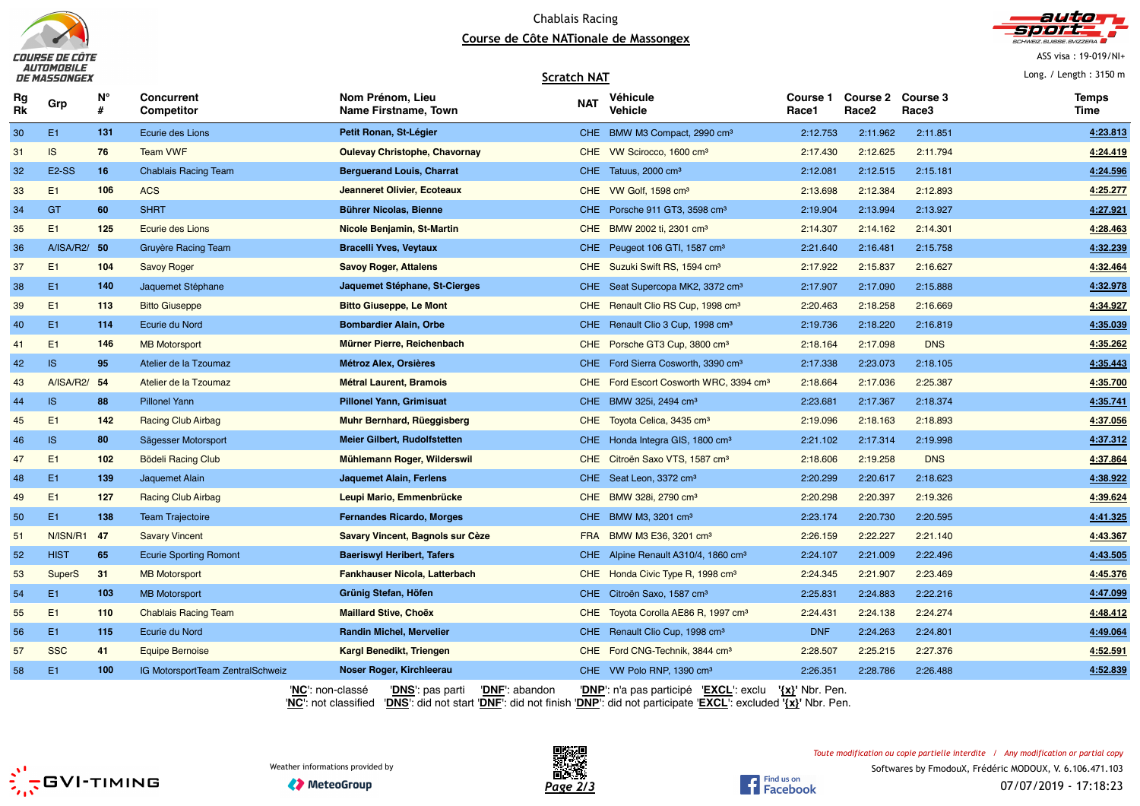



ASS visa : 19-019/NI+

Long. / Length : 3150 m

#### **Scratch NAT**

| Rg<br>Rk | Grp            | N°  | <b>Concurrent</b><br>Competitor  | Nom Prénom, Lieu<br>Name Firstname, Town              | <b>NAT</b> | Véhicule<br>Vehicle                             | Course 1<br>Race1   | <b>Course 2</b><br>Race <sub>2</sub> | Course 3<br>Race3 | <b>Temps</b><br>Time |
|----------|----------------|-----|----------------------------------|-------------------------------------------------------|------------|-------------------------------------------------|---------------------|--------------------------------------|-------------------|----------------------|
| 30       | E <sub>1</sub> | 131 | Ecurie des Lions                 | Petit Ronan, St-Légier                                |            | CHE BMW M3 Compact, 2990 cm <sup>3</sup>        | 2:12.753            | 2:11.962                             | 2:11.851          | 4:23.813             |
| 31       | IS.            | 76  | <b>Team VWF</b>                  | <b>Oulevay Christophe, Chavornay</b>                  |            | CHE VW Scirocco, 1600 cm <sup>3</sup>           | 2:17.430            | 2:12.625                             | 2:11.794          | 4:24.419             |
| 32       | <b>E2-SS</b>   | 16  | <b>Chablais Racing Team</b>      | <b>Berguerand Louis, Charrat</b>                      |            | CHE Tatuus, 2000 cm <sup>3</sup>                | 2:12.081            | 2:12.515                             | 2:15.181          | 4:24.596             |
| 33       | E <sub>1</sub> | 106 | <b>ACS</b>                       | Jeanneret Olivier, Ecoteaux                           |            | CHE VW Golf, 1598 cm <sup>3</sup>               | 2:13.698            | 2:12.384                             | 2:12.893          | 4:25.277             |
| 34       | <b>GT</b>      | 60  | <b>SHRT</b>                      | <b>Bührer Nicolas, Bienne</b>                         |            | CHE Porsche 911 GT3, 3598 cm <sup>3</sup>       | 2:19.904            | 2:13.994                             | 2:13.927          | 4:27.921             |
| 35       | E1             | 125 | Ecurie des Lions                 | Nicole Benjamin, St-Martin                            |            | CHE BMW 2002 ti, 2301 cm <sup>3</sup>           | 2:14.307            | 2:14.162                             | 2:14.301          | 4:28.463             |
| 36       | A/ISA/R2/ 50   |     | Gruyère Racing Team              | <b>Bracelli Yves, Veytaux</b>                         |            | CHE Peugeot 106 GTI, 1587 cm <sup>3</sup>       | 2:21.640            | 2:16.481                             | 2:15.758          | 4:32.239             |
| 37       | E1             | 104 | <b>Savoy Roger</b>               | <b>Savoy Roger, Attalens</b>                          |            | CHE Suzuki Swift RS, 1594 cm <sup>3</sup>       | 2:17.922            | 2:15.837                             | 2:16.627          | 4:32.464             |
| 38       | E <sub>1</sub> | 140 | Jaquemet Stéphane                | Jaquemet Stéphane, St-Cierges                         |            | CHE Seat Supercopa MK2, 3372 cm <sup>3</sup>    | 2:17.907            | 2:17.090                             | 2:15.888          | 4:32.978             |
| 39       | E1             | 113 | <b>Bitto Giuseppe</b>            | <b>Bitto Giuseppe, Le Mont</b>                        |            | CHE Renault Clio RS Cup, 1998 cm <sup>3</sup>   | 2:20.463            | 2:18.258                             | 2:16.669          | 4:34.927             |
| 40       | E <sub>1</sub> | 114 | Ecurie du Nord                   | <b>Bombardier Alain, Orbe</b>                         |            | CHE Renault Clio 3 Cup, 1998 cm <sup>3</sup>    | 2:19.736            | 2:18.220                             | 2:16.819          | 4:35.039             |
| 41       | E1             | 146 | <b>MB Motorsport</b>             | Mürner Pierre, Reichenbach                            |            | CHE Porsche GT3 Cup, 3800 cm <sup>3</sup>       | 2:18.164            | 2:17.098                             | <b>DNS</b>        | 4:35.262             |
| 42       | IS             | 95  | Atelier de la Tzoumaz            | <b>Métroz Alex, Orsières</b>                          |            | CHE Ford Sierra Cosworth, 3390 cm <sup>3</sup>  | 2:17.338            | 2:23.073                             | 2:18.105          | 4:35.443             |
| 43       | A/ISA/R2/      | 54  | Atelier de la Tzoumaz            | <b>Métral Laurent, Bramois</b>                        | CHE.       | Ford Escort Cosworth WRC, 3394 cm <sup>3</sup>  | 2:18.664            | 2:17.036                             | 2:25.387          | 4:35.700             |
| 44       | IS             | 88  | <b>Pillonel Yann</b>             | <b>Pillonel Yann, Grimisuat</b>                       |            | CHE BMW 325i, 2494 cm <sup>3</sup>              | 2:23.681            | 2:17.367                             | 2:18.374          | 4:35.741             |
| 45       | E1             | 142 | <b>Racing Club Airbag</b>        | Muhr Bernhard, Rüeggisberg                            |            | CHE Toyota Celica, 3435 cm <sup>3</sup>         | 2:19.096            | 2:18.163                             | 2:18.893          | 4:37.056             |
| 46       | <b>IS</b>      | 80  | Sägesser Motorsport              | Meier Gilbert, Rudolfstetten                          |            | CHE Honda Integra GIS, 1800 cm <sup>3</sup>     | 2:21.102            | 2:17.314                             | 2:19.998          | 4:37.312             |
| 47       | E1             | 102 | <b>Bödeli Racing Club</b>        | Mühlemann Roger, Wilderswil                           |            | CHE Citroën Saxo VTS, 1587 cm <sup>3</sup>      | 2:18.606            | 2:19.258                             | <b>DNS</b>        | 4:37.864             |
| 48       | E <sub>1</sub> | 139 | Jaquemet Alain                   | Jaquemet Alain, Ferlens                               |            | CHE Seat Leon, 3372 cm <sup>3</sup>             | 2:20.299            | 2:20.617                             | 2:18.623          | 4:38.922             |
| 49       | E1             | 127 | <b>Racing Club Airbag</b>        | Leupi Mario, Emmenbrücke                              |            | CHE BMW 328i, 2790 cm <sup>3</sup>              | 2:20.298            | 2:20.397                             | 2:19.326          | 4:39.624             |
| 50       | E1             | 138 | <b>Team Trajectoire</b>          | <b>Fernandes Ricardo, Morges</b>                      |            | CHE BMW M3, 3201 cm <sup>3</sup>                | 2:23.174            | 2:20.730                             | 2:20.595          | 4:41.325             |
| 51       | N/ISN/R1       | 47  | <b>Savary Vincent</b>            | Savary Vincent, Bagnols sur Cèze                      |            | FRA BMW M3 E36, 3201 cm <sup>3</sup>            | 2:26.159            | 2:22.227                             | 2:21.140          | 4:43.367             |
| 52       | <b>HIST</b>    | 65  | <b>Ecurie Sporting Romont</b>    | <b>Baeriswyl Heribert, Tafers</b>                     |            | CHE Alpine Renault A310/4, 1860 cm <sup>3</sup> | 2:24.107            | 2:21.009                             | 2:22.496          | 4:43.505             |
| 53       | SuperS         | 31  | <b>MB Motorsport</b>             | Fankhauser Nicola, Latterbach                         |            | CHE Honda Civic Type R, 1998 cm <sup>3</sup>    | 2:24.345            | 2:21.907                             | 2:23.469          | 4:45.376             |
| 54       | E <sub>1</sub> | 103 | <b>MB Motorsport</b>             | Grünig Stefan, Höfen                                  |            | CHE Citroën Saxo, 1587 cm <sup>3</sup>          | 2:25.831            | 2:24.883                             | 2:22.216          | 4:47.099             |
| 55       | E1             | 110 | <b>Chablais Racing Team</b>      | <b>Maillard Stive, Choëx</b>                          | CHE        | Toyota Corolla AE86 R, 1997 cm <sup>3</sup>     | 2:24.431            | 2:24.138                             | 2:24.274          | 4:48.412             |
| 56       | E <sub>1</sub> | 115 | Ecurie du Nord                   | <b>Randin Michel, Mervelier</b>                       |            | CHE Renault Clio Cup, 1998 cm <sup>3</sup>      | <b>DNF</b>          | 2:24.263                             | 2:24.801          | 4:49.064             |
| 57       | <b>SSC</b>     | 41  | <b>Equipe Bernoise</b>           | <b>Kargl Benedikt, Triengen</b>                       |            | CHE Ford CNG-Technik, 3844 cm <sup>3</sup>      | 2:28.507            | 2:25.215                             | 2:27.376          | 4:52.591             |
| 58       | E <sub>1</sub> | 100 | IG MotorsportTeam ZentralSchweiz | Noser Roger, Kirchleerau                              |            | CHE VW Polo RNP, 1390 cm <sup>3</sup>           | 2:26.351            | 2:28.786                             | 2:26.488          | 4:52.839             |
|          |                |     | 'NC': non-classé<br>1.121        | 'DNS': pas parti<br>'DNE': abandon<br>10.4101<br>---- | ----       | 'DNP': n'a pas participé 'EXCL': exclu          | $\{x\}$ ' Nbr. Pen. |                                      |                   |                      |







Find us on<br>Facebook

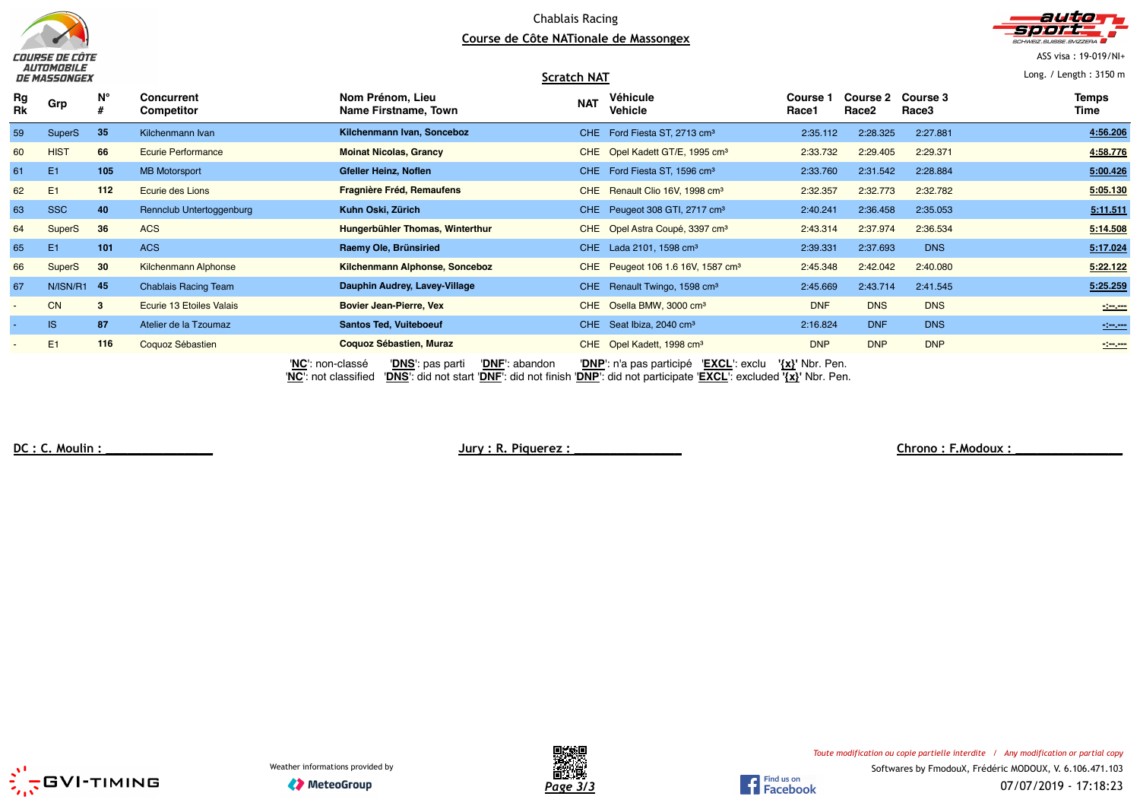



ASS visa : 19-019/NI+

Long. / Length : 3150 m

|          | ___________<br>DE MASSONGEX |              |                                 |                                          | <b>Scratch NAT</b> |                                               |                     |                          |                          | Long. / Length: $3150$ m        |
|----------|-----------------------------|--------------|---------------------------------|------------------------------------------|--------------------|-----------------------------------------------|---------------------|--------------------------|--------------------------|---------------------------------|
| Rg<br>Rk | Grp                         | N°           | <b>Concurrent</b><br>Competitor | Nom Prénom, Lieu<br>Name Firstname, Town | <b>NAT</b>         | Véhicule<br><b>Vehicle</b>                    | Course 1<br>Race1   | <b>Course 2</b><br>Race2 | <b>Course 3</b><br>Race3 | <b>Temps</b><br>Time            |
| 59       | <b>SuperS</b>               | 35           | Kilchenmann Ivan                | Kilchenmann Ivan, Sonceboz               |                    | CHE Ford Fiesta ST, 2713 cm <sup>3</sup>      | 2:35.112            | 2:28.325                 | 2:27.881                 | 4:56.206                        |
| 60       | <b>HIST</b>                 | 66           | <b>Ecurie Performance</b>       | <b>Moinat Nicolas, Grancy</b>            |                    | CHE Opel Kadett GT/E, 1995 cm <sup>3</sup>    | 2:33.732            | 2:29.405                 | 2:29.371                 | 4:58.776                        |
| 61       | E <sub>1</sub>              | 105          | <b>MB Motorsport</b>            | Gfeller Heinz, Noflen                    |                    | CHE Ford Fiesta ST, 1596 cm <sup>3</sup>      | 2:33.760            | 2:31.542                 | 2:28.884                 | 5:00.426                        |
| 62       | E <sub>1</sub>              | 112          | Ecurie des Lions                | <b>Fragnière Fréd, Remaufens</b>         |                    | CHE Renault Clio 16V, 1998 cm <sup>3</sup>    | 2:32.357            | 2:32.773                 | 2:32.782                 | 5:05.130                        |
| 63       | <b>SSC</b>                  | 40           | Rennclub Untertoggenburg        | Kuhn Oski, Zürich                        |                    | CHE Peugeot 308 GTI, 2717 cm <sup>3</sup>     | 2:40.241            | 2:36.458                 | 2:35.053                 | 5:11.511                        |
| 64       | <b>SuperS</b>               | 36           | <b>ACS</b>                      | Hungerbühler Thomas, Winterthur          |                    | CHE Opel Astra Coupé, 3397 cm <sup>3</sup>    | 2:43.314            | 2:37.974                 | 2:36.534                 | 5:14.508                        |
| 65       | E <sub>1</sub>              | 101          | <b>ACS</b>                      | Raemy Ole, Brünsiried                    |                    | CHE Lada 2101, 1598 cm <sup>3</sup>           | 2:39.331            | 2:37.693                 | <b>DNS</b>               | 5:17.024                        |
| 66       | SuperS                      | 30           | <b>Kilchenmann Alphonse</b>     | Kilchenmann Alphonse, Sonceboz           |                    | CHE Peugeot 106 1.6 16V, 1587 cm <sup>3</sup> | 2:45.348            | 2:42.042                 | 2:40.080                 | 5:22.122                        |
| 67       | N/ISN/R1 45                 |              | <b>Chablais Racing Team</b>     | Dauphin Audrey, Lavey-Village            |                    | CHE Renault Twingo, 1598 cm <sup>3</sup>      | 2:45.669            | 2:43.714                 | 2:41.545                 | 5:25.259                        |
|          | <b>CN</b>                   | $\mathbf{3}$ | Ecurie 13 Etoiles Valais        | <b>Bovier Jean-Pierre, Vex</b>           |                    | CHE Osella BMW, 3000 cm <sup>3</sup>          | <b>DNF</b>          | <b>DNS</b>               | <b>DNS</b>               | $\sim$                          |
|          | <b>IS</b>                   | 87           | Atelier de la Tzoumaz           | <b>Santos Ted, Vuiteboeuf</b>            |                    | CHE Seat Ibiza, 2040 cm <sup>3</sup>          | 2:16.824            | <b>DNF</b>               | <b>DNS</b>               | $\frac{1}{2}$ and $\frac{1}{2}$ |
|          | E1                          | 116          | Coquoz Sébastien                | Coquoz Sébastien, Muraz                  |                    | CHE Opel Kadett, 1998 cm <sup>3</sup>         | <b>DNP</b>          | <b>DNP</b>               | <b>DNP</b>               | $\frac{1}{2}$                   |
|          |                             |              |                                 | 'NC': non-classé<br>'DNS': pas parti     | 'DNF': abandon     | 'DNP': n'a pas participé 'EXCL': exclu        | $\{x\}$ ' Nbr. Pen. |                          |                          |                                 |

'**NC**': not classified '**DNS**': did not start '**DNF**': did not finish '**DNP**': did not participate '**EXCL**': excluded **'{x}'** Nbr. Pen.

**DC : C. Moulin : \_\_\_\_\_\_\_\_\_\_\_\_\_\_\_ Jury : R. Piquerez : \_\_\_\_\_\_\_\_\_\_\_\_\_\_\_ Chrono : F.Modoux : \_\_\_\_\_\_\_\_\_\_\_\_\_\_\_**





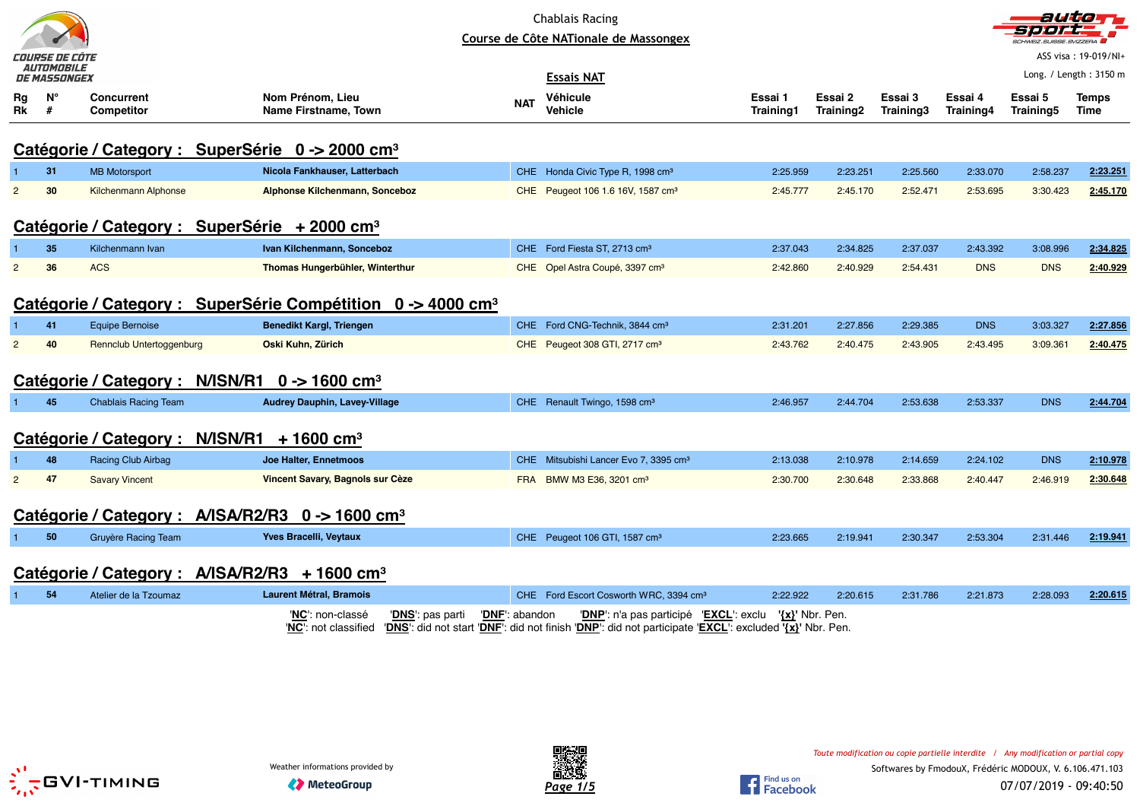|                | COURSE DE CÔTE                    |                                                              |                                                                         |                | <b>Chablais Racing</b><br>Course de Côte NATionale de Massongex                                                                                     |                      |                      |                      |                      | <b>CHWEIZ SUISSE SVIZZERA</b> | ASS visa: 19-019/NI+   |
|----------------|-----------------------------------|--------------------------------------------------------------|-------------------------------------------------------------------------|----------------|-----------------------------------------------------------------------------------------------------------------------------------------------------|----------------------|----------------------|----------------------|----------------------|-------------------------------|------------------------|
|                | <i>AUTOMOBILE</i><br>DE MASSONGEX |                                                              |                                                                         |                | <b>Essais NAT</b>                                                                                                                                   |                      |                      |                      |                      |                               | Long. / Length: 3150 m |
| Rg<br>Rk       | $N^{\circ}$<br>#                  | <b>Concurrent</b><br><b>Competitor</b>                       | Nom Prénom, Lieu<br><b>Name Firstname, Town</b>                         | <b>NAT</b>     | Véhicule<br><b>Vehicle</b>                                                                                                                          | Essai 1<br>Training1 | Essai 2<br>Training2 | Essai 3<br>Training3 | Essai 4<br>Training4 | Essai 5<br>Training5          | <b>Temps</b><br>Time   |
|                |                                   | Catégorie / Category : SuperSérie 0 -> 2000 cm <sup>3</sup>  |                                                                         |                |                                                                                                                                                     |                      |                      |                      |                      |                               |                        |
|                | 31                                | <b>MB Motorsport</b>                                         | Nicola Fankhauser, Latterbach                                           |                | CHE Honda Civic Type R, 1998 cm <sup>3</sup>                                                                                                        | 2:25.959             | 2:23.251             | 2:25.560             | 2:33.070             | 2:58.237                      | 2:23.251               |
| $\overline{2}$ | 30                                | <b>Kilchenmann Alphonse</b>                                  | Alphonse Kilchenmann, Sonceboz                                          |                | CHE Peugeot 106 1.6 16V, 1587 cm <sup>3</sup>                                                                                                       | 2:45.777             | 2:45.170             | 2:52.471             | 2:53.695             | 3:30.423                      | 2:45.170               |
|                |                                   | Catégorie / Category : SuperSérie + 2000 cm <sup>3</sup>     |                                                                         |                |                                                                                                                                                     |                      |                      |                      |                      |                               |                        |
|                | 35                                | Kilchenmann Ivan                                             | Ivan Kilchenmann, Sonceboz                                              |                | CHE Ford Fiesta ST, 2713 cm <sup>3</sup>                                                                                                            | 2:37.043             | 2:34.825             | 2:37.037             | 2:43.392             | 3:08.996                      | 2:34.825               |
| 2              | 36                                | <b>ACS</b>                                                   | Thomas Hungerbühler, Winterthur                                         |                | CHE Opel Astra Coupé, 3397 cm <sup>3</sup>                                                                                                          | 2:42.860             | 2:40.929             | 2:54.431             | <b>DNS</b>           | <b>DNS</b>                    | 2:40.929               |
|                |                                   |                                                              | Catégorie / Category : SuperSérie Compétition 0 -> 4000 cm <sup>3</sup> |                |                                                                                                                                                     |                      |                      |                      |                      |                               |                        |
|                | 41                                | <b>Equipe Bernoise</b>                                       | <b>Benedikt Kargl, Triengen</b>                                         |                | CHE Ford CNG-Technik, 3844 cm <sup>3</sup>                                                                                                          | 2:31.201             | 2:27.856             | 2:29.385             | <b>DNS</b>           | 3:03.327                      | 2:27.856               |
| $\overline{2}$ | 40                                | Rennclub Untertoggenburg                                     | Oski Kuhn, Zürich                                                       |                | CHE Peugeot 308 GTI, 2717 cm <sup>3</sup>                                                                                                           | 2:43.762             | 2:40.475             | 2:43.905             | 2:43.495             | 3:09.361                      | 2:40.475               |
|                |                                   | Catégorie / Category :                                       | N/ISN/R1 $0 \rightarrow 1600 \text{ cm}^3$                              |                |                                                                                                                                                     |                      |                      |                      |                      |                               |                        |
|                | 45                                | <b>Chablais Racing Team</b>                                  | <b>Audrey Dauphin, Lavey-Village</b>                                    |                | CHE Renault Twingo, 1598 cm <sup>3</sup>                                                                                                            | 2:46.957             | 2:44.704             | 2:53.638             | 2:53.337             | <b>DNS</b>                    | 2:44.704               |
|                |                                   | N/ISN/R1<br>Catégorie / Category :                           | $+1600$ cm <sup>3</sup>                                                 |                |                                                                                                                                                     |                      |                      |                      |                      |                               |                        |
|                | 48                                | <b>Racing Club Airbag</b>                                    | Joe Halter, Ennetmoos                                                   |                | CHE Mitsubishi Lancer Evo 7, 3395 cm <sup>3</sup>                                                                                                   | 2:13.038             | 2:10.978             | 2:14.659             | 2:24.102             | <b>DNS</b>                    | 2:10.978               |
| 2              | 47                                | <b>Savary Vincent</b>                                        | Vincent Savary, Bagnols sur Cèze                                        | <b>FRA</b>     | BMW M3 E36, 3201 cm <sup>3</sup>                                                                                                                    | 2:30.700             | 2:30.648             | 2:33.868             | 2:40.447             | 2:46.919                      | 2:30.648               |
|                |                                   | Catégorie / Category : A/ISA/R2/R3 0 -> 1600 cm <sup>3</sup> |                                                                         |                |                                                                                                                                                     |                      |                      |                      |                      |                               |                        |
|                | 50                                | Gruyère Racing Team                                          | <b>Yves Bracelli, Veytaux</b>                                           |                | CHE Peugeot 106 GTI, 1587 cm <sup>3</sup>                                                                                                           | 2:23.665             | 2:19.941             | 2:30.347             | 2:53.304             | 2:31.446                      | 2:19.941               |
|                |                                   | Catégorie / Category : A/ISA/R2/R3 + 1600 cm <sup>3</sup>    |                                                                         |                |                                                                                                                                                     |                      |                      |                      |                      |                               |                        |
|                | 54                                | Atelier de la Tzoumaz                                        | <b>Laurent Métral, Bramois</b>                                          |                | CHE Ford Escort Cosworth WRC, 3394 cm <sup>3</sup>                                                                                                  | 2:22.922             | 2:20.615             | 2:31.786             | 2:21.873             | 2:28.093                      | 2:20.615               |
|                |                                   |                                                              | 'NC': non-classé<br>' <b>DNS</b> ': pas parti<br>'NC': not classified   | 'DNF': abandon | 'DNP': n'a pas participé<br>'EXCL': exclu<br>'DNS': did not start 'DNF': did not finish 'DNP': did not participate 'EXCL': excluded '{x}' Nbr. Pen. |                      | $\{x\}$ ' Nbr. Pen.  |                      |                      |                               |                        |



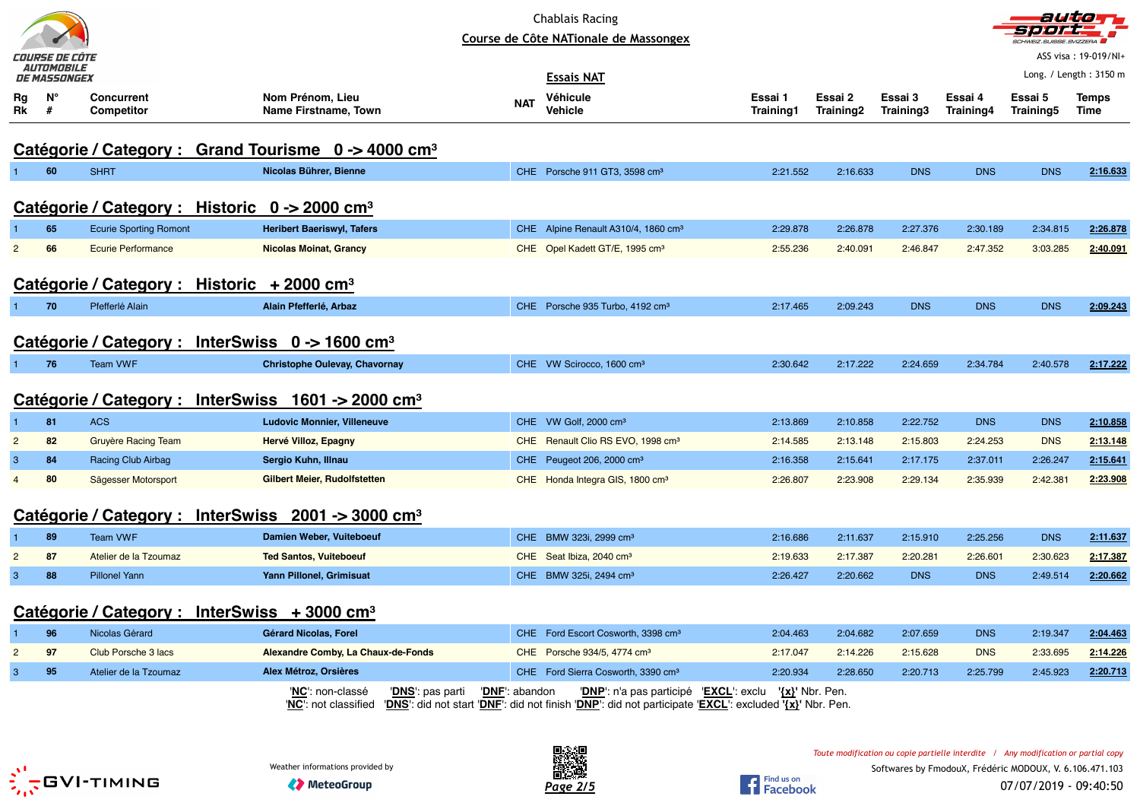|                | COURSE DE CÔTE<br><b>AUTOMOBILE</b> |                                   |                                                                                                                                                                                    |                         | <b>Chablais Racing</b><br>Course de Côte NATionale de Massongex |                      |                      |                      |                      | sterer e<br><b>SCHWEIZ.SUISSE.SVIZZERA</b> | autor-<br>ASS visa: 19-019/NI+ |
|----------------|-------------------------------------|-----------------------------------|------------------------------------------------------------------------------------------------------------------------------------------------------------------------------------|-------------------------|-----------------------------------------------------------------|----------------------|----------------------|----------------------|----------------------|--------------------------------------------|--------------------------------|
|                | <i>DE MASSONGEX</i>                 |                                   |                                                                                                                                                                                    |                         | <b>Essais NAT</b>                                               |                      |                      |                      |                      |                                            | Long. / Length: $3150$ m       |
| Rg<br>Rk       | Ν°<br>#                             | <b>Concurrent</b><br>Competitor   | Nom Prénom, Lieu<br>Name Firstname, Town                                                                                                                                           | NAT                     | Véhicule<br>Vehicle                                             | Essai 1<br>Training1 | Essai 2<br>Training2 | Essai 3<br>Training3 | Essai 4<br>Training4 | Essai 5<br>Training5                       | Temps<br>Time                  |
|                |                                     |                                   | Catégorie / Category : Grand Tourisme 0 -> 4000 cm <sup>3</sup>                                                                                                                    |                         |                                                                 |                      |                      |                      |                      |                                            |                                |
|                | 60                                  | <b>SHRT</b>                       | Nicolas Bührer, Bienne                                                                                                                                                             |                         | CHE Porsche 911 GT3, 3598 cm <sup>3</sup>                       | 2:21.552             | 2:16.633             | <b>DNS</b>           | <b>DNS</b>           | <b>DNS</b>                                 | 2:16.633                       |
|                |                                     |                                   | Catégorie / Category : Historic $0 \rightarrow 2000$ cm <sup>3</sup>                                                                                                               |                         |                                                                 |                      |                      |                      |                      |                                            |                                |
|                | 65                                  | <b>Ecurie Sporting Romont</b>     | <b>Heribert Baeriswyl, Tafers</b>                                                                                                                                                  |                         | CHE Alpine Renault A310/4, 1860 cm <sup>3</sup>                 | 2:29.878             | 2:26.878             | 2:27.376             | 2:30.189             | 2:34.815                                   | 2:26.878                       |
| $\overline{2}$ | 66                                  | <b>Ecurie Performance</b>         | <b>Nicolas Moinat, Grancy</b>                                                                                                                                                      |                         | CHE Opel Kadett GT/E, 1995 cm <sup>3</sup>                      | 2:55.236             | 2:40.091             | 2:46.847             | 2:47.352             | 3:03.285                                   | 2:40.091                       |
|                |                                     | Catégorie / Category :            | Historic $+2000$ cm <sup>3</sup>                                                                                                                                                   |                         |                                                                 |                      |                      |                      |                      |                                            |                                |
|                | 70                                  | Pfefferlé Alain                   | Alain Pfefferlé, Arbaz                                                                                                                                                             |                         | CHE Porsche 935 Turbo, 4192 cm <sup>3</sup>                     | 2:17.465             | 2:09.243             | <b>DNS</b>           | <b>DNS</b>           | <b>DNS</b>                                 | 2:09.243                       |
|                |                                     |                                   | Catégorie / Category : InterSwiss $0 \rightarrow 1600$ cm <sup>3</sup>                                                                                                             |                         |                                                                 |                      |                      |                      |                      |                                            |                                |
| 1.             | 76                                  | Team VWF                          | <b>Christophe Oulevay, Chavornay</b>                                                                                                                                               |                         | CHE VW Scirocco, 1600 cm <sup>3</sup>                           | 2:30.642             | 2:17.222             | 2:24.659             | 2:34.784             | 2:40.578                                   | 2:17.222                       |
|                |                                     |                                   | Catégorie / Category : InterSwiss 1601 -> 2000 cm <sup>3</sup>                                                                                                                     |                         |                                                                 |                      |                      |                      |                      |                                            |                                |
|                | 81                                  | <b>ACS</b>                        | <b>Ludovic Monnier, Villeneuve</b>                                                                                                                                                 |                         | CHE VW Golf, 2000 cm <sup>3</sup>                               | 2:13.869             | 2:10.858             | 2:22.752             | <b>DNS</b>           | <b>DNS</b>                                 | 2:10.858                       |
| $\mathbf{2}$   | 82                                  | <b>Gruyère Racing Team</b>        | Hervé Villoz, Epagny                                                                                                                                                               |                         | CHE Renault Clio RS EVO, 1998 cm <sup>3</sup>                   | 2:14.585             | 2:13.148             | 2:15.803             | 2:24.253             | <b>DNS</b>                                 | 2:13.148                       |
| 3              | 84                                  | <b>Racing Club Airbag</b>         | Sergio Kuhn, Illnau                                                                                                                                                                |                         | CHE Peugeot 206, 2000 cm <sup>3</sup>                           | 2:16.358             | 2:15.641             | 2:17.175             | 2:37.011             | 2:26.247                                   | 2:15.641                       |
| $\overline{4}$ | 80                                  | Sägesser Motorsport               | <b>Gilbert Meier, Rudolfstetten</b>                                                                                                                                                |                         | CHE Honda Integra GIS, 1800 cm <sup>3</sup>                     | 2:26.807             | 2:23.908             | 2:29.134             | 2:35.939             | 2:42.381                                   | 2:23.908                       |
|                |                                     | Catégorie / Category : InterSwiss | 2001 -> 3000 cm <sup>3</sup>                                                                                                                                                       |                         |                                                                 |                      |                      |                      |                      |                                            |                                |
|                | 89                                  | <b>Team VWF</b>                   | Damien Weber, Vuiteboeuf                                                                                                                                                           |                         | CHE BMW 323i, 2999 cm <sup>3</sup>                              | 2:16.686             | 2:11.637             | 2:15.910             | 2:25.256             | <b>DNS</b>                                 | 2:11.637                       |
| $\overline{2}$ | 87                                  | Atelier de la Tzoumaz             | <b>Ted Santos, Vuiteboeuf</b>                                                                                                                                                      |                         | CHE Seat Ibiza, 2040 cm <sup>3</sup>                            | 2:19.633             | 2:17.387             | 2:20.281             | 2:26.601             | 2:30.623                                   | 2:17.387                       |
| $\mathbf{3}$   | 88                                  | <b>Pillonel Yann</b>              | Yann Pillonel, Grimisuat                                                                                                                                                           |                         | CHE BMW 325i, 2494 cm <sup>3</sup>                              | 2:26.427             | 2:20.662             | <b>DNS</b>           | <b>DNS</b>           | 2:49.514                                   | 2:20.662                       |
|                |                                     |                                   | Catégorie / Category : InterSwiss + 3000 cm <sup>3</sup>                                                                                                                           |                         |                                                                 |                      |                      |                      |                      |                                            |                                |
| -1             | 96                                  | Nicolas Gérard                    | Gérard Nicolas, Forel                                                                                                                                                              |                         | CHE Ford Escort Cosworth, 3398 cm <sup>3</sup>                  | 2:04.463             | 2:04.682             | 2:07.659             | <b>DNS</b>           | 2:19.347                                   | 2:04.463                       |
| $\overline{c}$ | 97                                  | Club Porsche 3 lacs               | Alexandre Comby, La Chaux-de-Fonds                                                                                                                                                 |                         | CHE Porsche 934/5, 4774 cm <sup>3</sup>                         | 2:17.047             | 2:14.226             | 2:15.628             | <b>DNS</b>           | 2:33.695                                   | 2:14.226                       |
| $\mathbf{3}$   | 95                                  | Atelier de la Tzoumaz             | Alex Métroz, Orsières                                                                                                                                                              |                         | CHE Ford Sierra Cosworth, 3390 cm <sup>3</sup>                  | 2:20.934             | 2:28.650             | 2:20.713             | 2:25.799             | 2:45.923                                   | 2:20.713                       |
|                |                                     |                                   | 'NC': non-classé<br>' <mark>DNS</mark> ': pas parti<br>"NC': not classified "DNS': did not start "DNF": did not finish "DNP": did not participate "EXCL": excluded '{x}' Nbr. Pen. | ' <b>DNF</b> ': abandon | "DNP": n'a pas participé "EXCL": exclu '{x}' Nbr. Pen.          |                      |                      |                      |                      |                                            |                                |



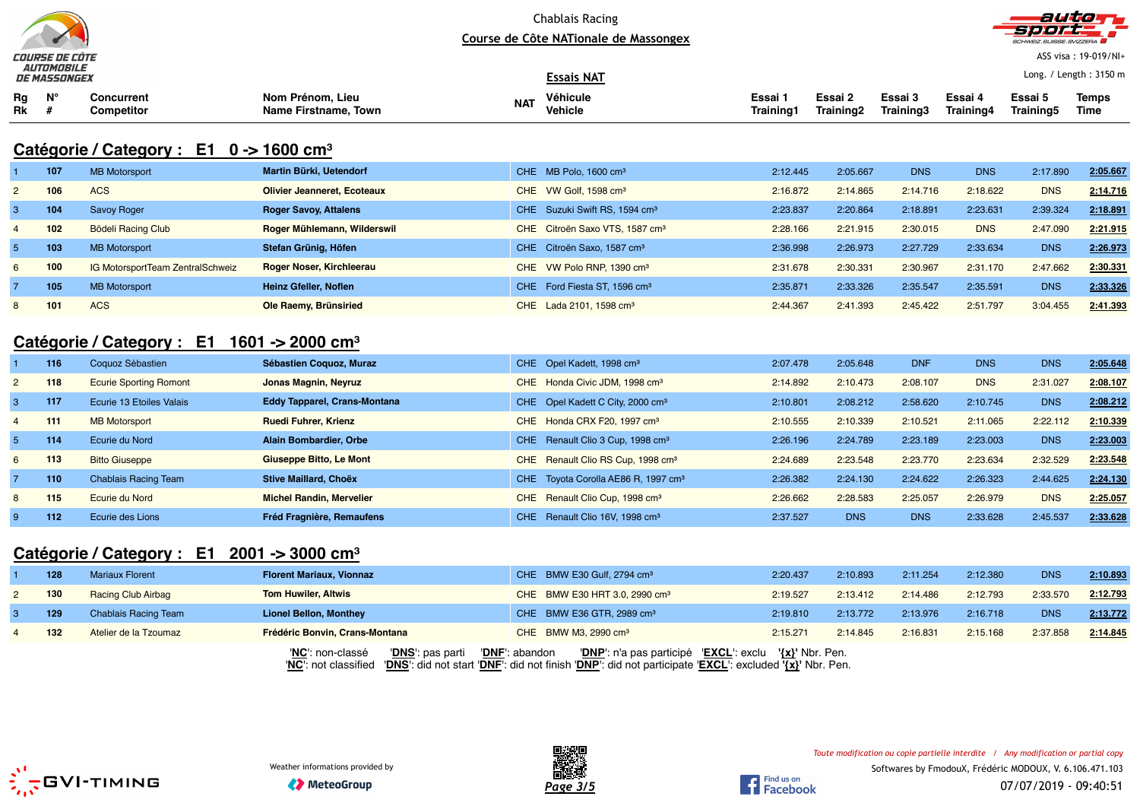



ASS visa : 19-019/NI+

|                 | COURSE DE COTE<br><b>AUTOMOBILE</b><br><b>DE MASSONGEX</b> |                                                                   |                                          |            | <b>Essais NAT</b>                               |                      |                      |                      |                      |                      | ASS VISA : 19-019/NI+<br>Long. / Length: 3150 m |
|-----------------|------------------------------------------------------------|-------------------------------------------------------------------|------------------------------------------|------------|-------------------------------------------------|----------------------|----------------------|----------------------|----------------------|----------------------|-------------------------------------------------|
| Rg<br>Rk        | $N^{\circ}$<br>#                                           | <b>Concurrent</b><br><b>Competitor</b>                            | Nom Prénom. Lieu<br>Name Firstname, Town | <b>NAT</b> | Véhicule<br><b>Vehicle</b>                      | Essai 1<br>Training1 | Essai 2<br>Training2 | Essai 3<br>Training3 | Essai 4<br>Training4 | Essai 5<br>Training5 | <b>Temps</b><br><b>Time</b>                     |
|                 |                                                            | Catégorie / Category : $E1 \quad 0 \rightarrow 1600 \text{ cm}^3$ |                                          |            |                                                 |                      |                      |                      |                      |                      |                                                 |
|                 | 107                                                        | <b>MB Motorsport</b>                                              | Martin Bürki, Uetendorf                  |            | CHE MB Polo, 1600 cm <sup>3</sup>               | 2:12.445             | 2:05.667             | <b>DNS</b>           | <b>DNS</b>           | 2:17.890             | 2:05.667                                        |
| $\overline{c}$  | 106                                                        | <b>ACS</b>                                                        | <b>Olivier Jeanneret, Ecoteaux</b>       |            | CHE VW Golf, 1598 cm <sup>3</sup>               | 2:16.872             | 2:14.865             | 2:14.716             | 2:18.622             | <b>DNS</b>           | 2:14.716                                        |
| $\mathbf{3}$    | 104                                                        | Savoy Roger                                                       | <b>Roger Savoy, Attalens</b>             |            | CHE Suzuki Swift RS, 1594 cm <sup>3</sup>       | 2:23.837             | 2:20.864             | 2:18.891             | 2:23.631             | 2:39.324             | 2:18.891                                        |
| 4               | 102                                                        | <b>Bödeli Racing Club</b>                                         | Roger Mühlemann, Wilderswil              |            | CHE Citroën Saxo VTS, 1587 cm <sup>3</sup>      | 2:28.166             | 2:21.915             | 2:30.015             | <b>DNS</b>           | 2:47.090             | 2:21.915                                        |
| $5\overline{5}$ | 103                                                        | <b>MB Motorsport</b>                                              | Stefan Grünig, Höfen                     |            | CHE Citroën Saxo, 1587 cm <sup>3</sup>          | 2:36.998             | 2:26.973             | 2:27.729             | 2:33.634             | <b>DNS</b>           | 2:26.973                                        |
| 6               | 100                                                        | IG MotorsportTeam ZentralSchweiz                                  | Roger Noser, Kirchleerau                 |            | CHE VW Polo RNP, 1390 cm <sup>3</sup>           | 2:31.678             | 2:30.331             | 2:30.967             | 2:31.170             | 2:47.662             | 2:30.331                                        |
| 7               | 105                                                        | <b>MB Motorsport</b>                                              | Heinz Gfeller, Noflen                    |            | CHE Ford Fiesta ST, 1596 cm <sup>3</sup>        | 2:35.871             | 2:33.326             | 2:35.547             | 2:35.591             | <b>DNS</b>           | 2:33.326                                        |
| 8               | 101                                                        | <b>ACS</b>                                                        | Ole Raemy, Brünsiried                    |            | CHE Lada 2101, 1598 cm <sup>3</sup>             | 2:44.367             | 2:41.393             | 2:45.422             | 2:51.797             | 3:04.455             | 2:41.393                                        |
|                 |                                                            | Catégorie / Category : E1                                         | 1601 -> 2000 cm <sup>3</sup>             |            |                                                 |                      |                      |                      |                      |                      |                                                 |
|                 | 116                                                        | Coquoz Sébastien                                                  | Sébastien Coquoz, Muraz                  |            | CHE Opel Kadett, 1998 cm <sup>3</sup>           | 2:07.478             | 2:05.648             | <b>DNF</b>           | <b>DNS</b>           | <b>DNS</b>           | 2:05.648                                        |
| $\overline{2}$  | 118                                                        | <b>Ecurie Sporting Romont</b>                                     | <b>Jonas Magnin, Neyruz</b>              |            | CHE Honda Civic JDM, 1998 cm <sup>3</sup>       | 2:14.892             | 2:10.473             | 2:08.107             | <b>DNS</b>           | 2:31.027             | 2:08.107                                        |
| $\mathbf{3}$    | 117                                                        | Ecurie 13 Etoiles Valais                                          | <b>Eddy Tapparel, Crans-Montana</b>      |            | CHE Opel Kadett C City, 2000 cm <sup>3</sup>    | 2:10.801             | 2:08.212             | 2:58.620             | 2:10.745             | <b>DNS</b>           | 2:08.212                                        |
| 4               | 111                                                        | <b>MB Motorsport</b>                                              | <b>Ruedi Fuhrer, Krienz</b>              |            | CHE Honda CRX F20, 1997 cm <sup>3</sup>         | 2:10.555             | 2:10.339             | 2:10.521             | 2:11.065             | 2:22.112             | 2:10.339                                        |
| $5\overline{5}$ | 114                                                        | Ecurie du Nord                                                    | Alain Bombardier, Orbe                   |            | CHE Renault Clio 3 Cup, 1998 cm <sup>3</sup>    | 2:26.196             | 2:24.789             | 2:23.189             | 2:23.003             | <b>DNS</b>           | 2:23.003                                        |
| 6               | 113                                                        | <b>Bitto Giuseppe</b>                                             | <b>Giuseppe Bitto, Le Mont</b>           |            | CHE Renault Clio RS Cup, 1998 cm <sup>3</sup>   | 2:24.689             | 2:23.548             | 2:23.770             | 2:23.634             | 2:32.529             | 2:23.548                                        |
| $\overline{7}$  | 110                                                        | <b>Chablais Racing Team</b>                                       | <b>Stive Maillard, Choëx</b>             |            | CHE Toyota Corolla AE86 R, 1997 cm <sup>3</sup> | 2:26.382             | 2:24.130             | 2:24.622             | 2:26.323             | 2:44.625             | 2:24.130                                        |
| 8               | 115                                                        | Ecurie du Nord                                                    | <b>Michel Randin, Mervelier</b>          |            | CHE Renault Clio Cup, 1998 cm <sup>3</sup>      | 2:26.662             | 2:28.583             | 2:25.057             | 2:26.979             | <b>DNS</b>           | 2:25.057                                        |
| 9               | 112                                                        | Ecurie des Lions                                                  | <b>Fréd Fragnière, Remaufens</b>         |            | CHE Renault Clio 16V, 1998 cm <sup>3</sup>      | 2:37.527             | <b>DNS</b>           | <b>DNS</b>           | 2:33.628             | 2:45.537             | 2:33.628                                        |
|                 |                                                            |                                                                   |                                          |            |                                                 |                      |                      |                      |                      |                      |                                                 |

# **Catégorie / Category : E1 2001 -> 3000 cm<sup>³</sup>**

| 128 | <b>Mariaux Florent</b>      | <b>Florent Mariaux, Vionnaz</b>      | CHE BMW E30 Gulf, 2794 cm <sup>3</sup>                                                                                                                                                                  | 2:20.437 | 2:10.893 | 2:11.254 | 2:12.380 | <b>DNS</b> | 2:10.893 |
|-----|-----------------------------|--------------------------------------|---------------------------------------------------------------------------------------------------------------------------------------------------------------------------------------------------------|----------|----------|----------|----------|------------|----------|
| 130 | <b>Racing Club Airbag</b>   | <b>Tom Huwiler, Altwis</b>           | CHE BMW E30 HRT 3.0, 2990 cm <sup>3</sup>                                                                                                                                                               | 2:19.527 | 2:13.412 | 2:14.486 | 2:12.793 | 2:33.570   | 2:12.793 |
| 129 | <b>Chablais Racing Team</b> | <b>Lionel Bellon, Monthey</b>        | CHE BMW E36 GTR, 2989 cm <sup>3</sup>                                                                                                                                                                   | 2:19.810 | 2:13.772 | 2:13.976 | 2:16.718 | <b>DNS</b> | 2:13.772 |
| 132 | Atelier de la Tzoumaz       | Frédéric Bonvin, Crans-Montana       | CHE BMW M3, 2990 cm <sup>3</sup>                                                                                                                                                                        | 2:15.271 | 2:14.845 | 2:16.831 | 2:15.168 | 2:37.858   | 2:14.845 |
|     |                             | 'DNS': pas parti<br>'NC': non-classé | 'DNP': n'a pas participé 'EXCL': exclu '{x}' Nbr. Pen.<br>'DNF': abandon<br>'NC': not classified 'DNS': did not start 'DNF': did not finish 'DNP': did not participate 'EXCL': excluded '{x}' Nbr. Pen. |          |          |          |          |            |          |



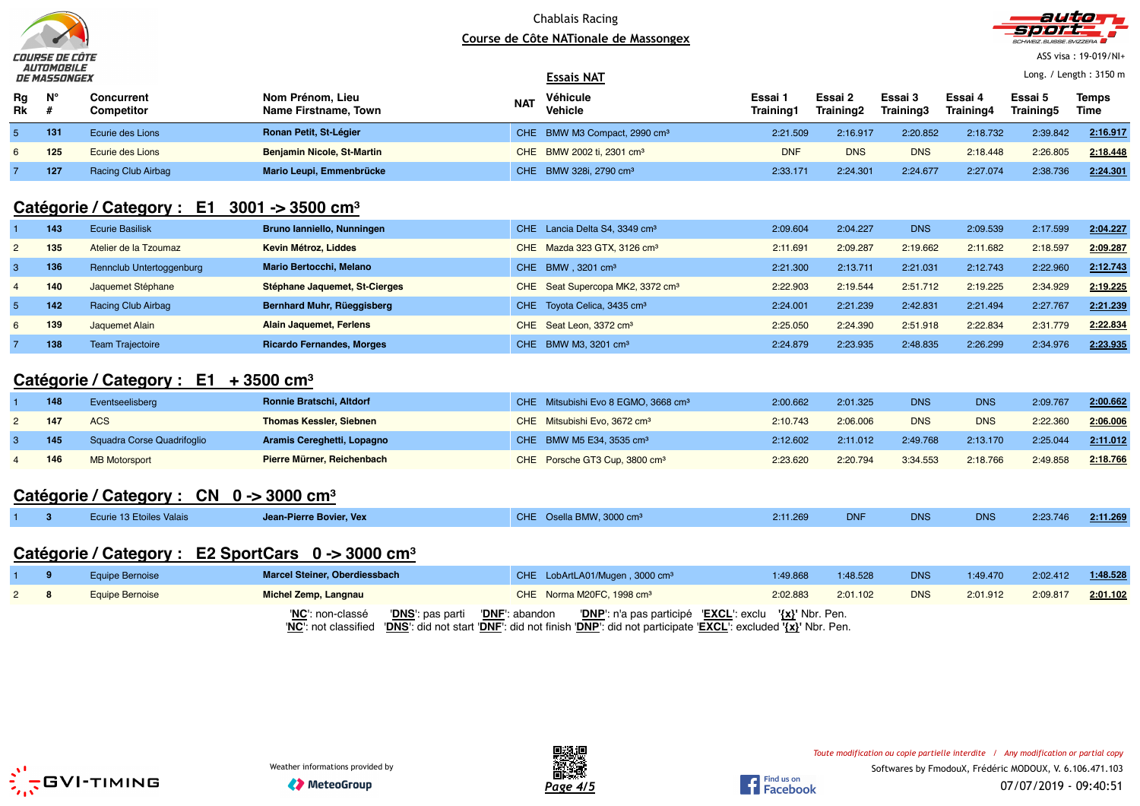



ASS visa : 19-019/NI+

Long. / Length : 3150 m

|          | <i>be pressurer</i> |                                 |                                          |            | ---------                                |                      |                      |                      |                             |                      |               |
|----------|---------------------|---------------------------------|------------------------------------------|------------|------------------------------------------|----------------------|----------------------|----------------------|-----------------------------|----------------------|---------------|
| Rg<br>Rk | $N^{\circ}$         | Concurrent<br><b>Competitor</b> | Nom Prénom. Lieu<br>Name Firstname, Town | <b>NAT</b> | Véhicule<br><b>Vehicle</b>               | Essai 1<br>Training1 | Essai 2<br>Training2 | Essai 3<br>Training3 | Essai 4<br><b>Training4</b> | Essai 5<br>Training5 | Temps<br>Time |
|          | 131                 | Ecurie des Lions                | Ronan Petit, St-Légier                   |            | CHE BMW M3 Compact, 2990 cm <sup>3</sup> | 2:21.509             | 2:16.917             | 2:20.852             | 2:18.732                    | 2:39.842             | 2:16.917      |
|          | 125                 | Ecurie des Lions                | <b>Benjamin Nicole, St-Martin</b>        |            | CHE BMW 2002 ti, 2301 cm <sup>3</sup>    | <b>DNF</b>           | <b>DNS</b>           | <b>DNS</b>           | 2:18.448                    | 2:26.805             | 2:18.448      |
|          | 127                 | <b>Racing Club Airbag</b>       | Mario Leupi, Emmenbrücke                 |            | CHE BMW 328i, 2790 cm <sup>3</sup>       | 2:33.171             | 2:24.301             | 2:24.677             | 2:27.074                    | 2:38.736             | 2:24.301      |
|          |                     |                                 |                                          |            |                                          |                      |                      |                      |                             |                      |               |

**Essais NAT**

### **Catégorie / Category : E1 3001 -> 3500 cm<sup>³</sup>**

|   | 143 | <b>Ecurie Basilisk</b>   | Bruno lanniello, Nunningen       | CHE Lancia Delta S4, 3349 cm <sup>3</sup>    | 2:09.604 | 2:04.227 | <b>DNS</b> | 2:09.539 | 2:17.599 | 2:04.227 |
|---|-----|--------------------------|----------------------------------|----------------------------------------------|----------|----------|------------|----------|----------|----------|
|   | 135 | Atelier de la Tzoumaz    | Kevin Métroz, Liddes             | Mazda 323 GTX, 3126 cm <sup>3</sup><br>CHE.  | 2:11.691 | 2:09.287 | 2:19.662   | 2:11.682 | 2:18.597 | 2:09.287 |
|   | 136 | Rennclub Untertoggenburg | <b>Mario Bertocchi, Melano</b>   | CHE BMW $.3201 \text{ cm}^3$                 | 2:21.300 | 2:13.711 | 2:21.031   | 2:12.743 | 2:22.960 | 2:12.743 |
| 4 | 140 | Jaquemet Stéphane        | Stéphane Jaquemet, St-Cierges    | CHE Seat Supercopa MK2, 3372 cm <sup>3</sup> | 2:22.903 | 2:19.544 | 2:51.712   | 2:19.225 | 2:34.929 | 2:19.225 |
|   | 142 | Racing Club Airbag       | Bernhard Muhr, Rüeggisberg       | CHE Toyota Celica, 3435 cm <sup>3</sup>      | 2:24.001 | 2:21.239 | 2:42.831   | 2:21.494 | 2:27.767 | 2:21.239 |
| 6 | 139 | Jaquemet Alain           | Alain Jaquemet, Ferlens          | CHE Seat Leon, 3372 cm <sup>3</sup>          | 2:25.050 | 2:24.390 | 2:51.918   | 2:22.834 | 2:31.779 | 2:22.834 |
|   | 138 | <b>Team Traiectoire</b>  | <b>Ricardo Fernandes, Morges</b> | BMW M3, 3201 cm <sup>3</sup><br>CHE.         | 2:24.879 | 2:23.935 | 2:48.835   | 2:26.299 | 2:34.976 | 2:23.935 |

### **Catégorie / Category : E1 + 3500 cm<sup>³</sup>**

| 148 | Eventseelisberg            | Ronnie Bratschi, Altdorf       | CHE Mitsubishi Evo 8 EGMO, 3668 cm <sup>3</sup> | 2:00.662 | 2:01.325 | <b>DNS</b> | <b>DNS</b> | 2:09.767 | 2:00.662 |
|-----|----------------------------|--------------------------------|-------------------------------------------------|----------|----------|------------|------------|----------|----------|
| 147 | <b>ACS</b>                 | <b>Thomas Kessler, Siebnen</b> | CHE Mitsubishi Evo, 3672 cm <sup>3</sup>        | 2:10.743 | 2:06.006 | <b>DNS</b> | <b>DNS</b> | 2:22.360 | 2:06.006 |
|     | Squadra Corse Quadrifoglio | Aramis Cereghetti, Lopagno     | CHE BMW M5 E34, 3535 cm <sup>3</sup>            | 2:12.602 | 2:11.012 | 2:49.768   | 2:13.170   | 2:25.044 | 2:11.012 |
| 146 | <b>MB Motorsport</b>       | Pierre Mürner, Reichenbach     | CHE Porsche GT3 Cup, 3800 cm <sup>3</sup>       | 2:23.620 | 2:20.794 | 3:34.553   | 2:18.766   | 2:49.858 | 2:18.766 |
|     |                            |                                |                                                 |          |          |            |            |          |          |

## **Catégorie / Category : CN 0 -> 3000 cm<sup>³</sup>**

|  | <b>Ecurie 13 Etoiles Valais</b> | Jean-Pierre Bovier, Vex | CHE Osella BMW, 3000 cm <sup>3</sup> | 2:11.269 |  | DN <sub>S</sub> | <b>DNS</b> | 2:23.746 | 2:11.269 |
|--|---------------------------------|-------------------------|--------------------------------------|----------|--|-----------------|------------|----------|----------|
|--|---------------------------------|-------------------------|--------------------------------------|----------|--|-----------------|------------|----------|----------|

### **Catégorie / Category : E2 SportCars 0 -> 3000 cm<sup>³</sup>**

|  | Equipe Bernoise | Marcel Steiner, Oberdiessbach                                       | CHE LobArtLA01/Mugen, 3000 cm <sup>3</sup>                                                                                                                                            | 1:49.868 | 1:48.528 | <b>DNS</b> | 1:49.470 | 2:02.412 | 1:48.528 |
|--|-----------------|---------------------------------------------------------------------|---------------------------------------------------------------------------------------------------------------------------------------------------------------------------------------|----------|----------|------------|----------|----------|----------|
|  | Equipe Bernoise | Michel Zemp, Langnau                                                | CHE Norma M20FC, 1998 cm <sup>3</sup>                                                                                                                                                 | 2:02.883 | 2:01.102 | <b>DNS</b> | 2:01.912 | 2:09.817 | 2:01.102 |
|  |                 | <b>'DNS</b> ': pas parti <b>'DNF</b> ': abandon<br>'NC': non-classé | 'DNP': n'a pas participé 'EXCL': exclu '{x}' Nbr. Pen.<br>'NC': not classified 'DNS': did not start 'DNF': did not finish 'DNP': did not participate 'EXCL': excluded '{x}' Nbr. Pen. |          |          |            |          |          |          |





Find us on